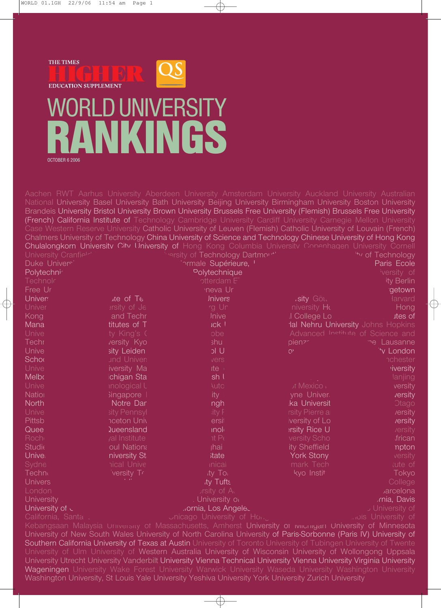

OCTOBER 6 2006

| University Cranfiel <sup>-'</sup> |                                                                                                      | "" ersity of Technology Dartmon" | Chulalongkorn University City University of Hong Kong Columbia University Conenhagen University Cornell               | "*v of Technology                  |
|-----------------------------------|------------------------------------------------------------------------------------------------------|----------------------------------|-----------------------------------------------------------------------------------------------------------------------|------------------------------------|
| Duke Univers'                     |                                                                                                      | ormale Supérieure, <sup>1</sup>  |                                                                                                                       | Paris Ecole                        |
| Polytechni <sup>z</sup>           |                                                                                                      | Polytechnique                    |                                                                                                                       | versity of                         |
| <b>Technolr</b>                   |                                                                                                      | otterdam F                       |                                                                                                                       | ity Berlin                         |
| Free Ur                           |                                                                                                      | neva Ur                          |                                                                                                                       | getown                             |
| <b>Univers</b>                    | ate of Te                                                                                            | <b>Jnivers</b>                   | .sity Gou                                                                                                             | larvard                            |
| Univer                            | et y of Je                                                                                           | rg Un                            | niversity Ho                                                                                                          | Hong                               |
| Kong                              | and Techr                                                                                            | <b>Inive</b>                     | I College Lo                                                                                                          | <b>ites of</b>                     |
| Mana                              | titutes of T                                                                                         | <b>Ick I</b>                     |                                                                                                                       | dal Nehru University Johns Hopkins |
| Unive                             | ty King's (                                                                                          | obe                              |                                                                                                                       | Advanced Institute of Science and  |
| <b>Techr</b>                      | versity Kyo                                                                                          | shu                              | pienz <sub>c</sub>                                                                                                    | ne Lausanne                        |
| Unive                             | sity Leiden                                                                                          | U Ic                             | O <sub>1</sub>                                                                                                        | 'v London                          |
| <b>Schoo</b>                      | und Univers                                                                                          | vers                             |                                                                                                                       | <b>nchester</b>                    |
| <b>Unive</b>                      | iversity Ma                                                                                          | ite (                            |                                                                                                                       | viversity                          |
| <b>Melbo</b>                      | ichigan Sta                                                                                          | sh l                             |                                                                                                                       | lanjing                            |
| Unive                             | inological L                                                                                         | <b>Auto</b>                      | of Mexico                                                                                                             | versity                            |
| <b>Nation</b>                     | Singapore                                                                                            | ity l                            | yne Univer                                                                                                            | <i>rersity</i>                     |
| North                             | Notre Dan                                                                                            | ngh                              | ka Universit                                                                                                          | <b>Otago</b>                       |
| Unive                             | sity Pennsyl                                                                                         | sity F                           | rsity Pierre ar                                                                                                       | /ersity                            |
| <b>Pittsb</b>                     | <b>nceton Univ</b>                                                                                   | ersit                            | versity of Lo                                                                                                         | <i>rersity</i>                     |
| Quee                              | <b>Queensland</b>                                                                                    | inole                            | ersity Rice U                                                                                                         | /ersity                            |
| <b>Roch</b>                       | yal Institute                                                                                        | ntP <sub>f</sub>                 | versity Scho                                                                                                          | frican                             |
| <b>Studie</b>                     | oul Nationa                                                                                          | <b>jhai</b>                      | ity Sheffield                                                                                                         | npton                              |
| Univel                            | niversity St                                                                                         | tate                             | <b>York Stony</b>                                                                                                     | versity                            |
| Sydne                             | nical Unive                                                                                          | inical                           | mark Tech                                                                                                             | tute of                            |
| Technt                            | versity Tr                                                                                           | ity Toi                          | kyo Instit                                                                                                            | Tokyo                              |
| <b>Univers</b>                    |                                                                                                      | ity Tufts                        |                                                                                                                       | College                            |
| <b>London</b>                     |                                                                                                      | prsity of A                      |                                                                                                                       | arcelona                           |
| <b>University</b>                 |                                                                                                      | University of                    |                                                                                                                       | mia, Davis                         |
| University of $\sim$              |                                                                                                      | .ornia, Los Angelec              |                                                                                                                       | J University of                    |
| California, Santa                 |                                                                                                      | Unicago University of Hours.     |                                                                                                                       | ois University of                  |
|                                   |                                                                                                      |                                  | Kebangsaan Malaysia University of Massachusetts, Amherst University or ivilgringan University of Minnesota            |                                    |
|                                   |                                                                                                      |                                  | University of New South Wales University of North Carolina University of Paris-Sorbonne (Paris IV) University of      |                                    |
|                                   |                                                                                                      |                                  | Southern California University of Texas at Austin University of Toronto University of Tubingen University of Twente   |                                    |
|                                   |                                                                                                      |                                  | University of Ulm University of Western Australia University of Wisconsin University of Wollongong Uppsala            |                                    |
|                                   |                                                                                                      |                                  | University Utrecht University Vanderbilt University Vienna Technical University Vienna University Virginia University |                                    |
|                                   |                                                                                                      |                                  | Wageningen University Wake Forest University Warwick University Waseda University Washington University               |                                    |
|                                   |                                                                                                      |                                  |                                                                                                                       |                                    |
|                                   | Washington University, St Louis Yale University Yeshiva University York University Zurich University |                                  |                                                                                                                       |                                    |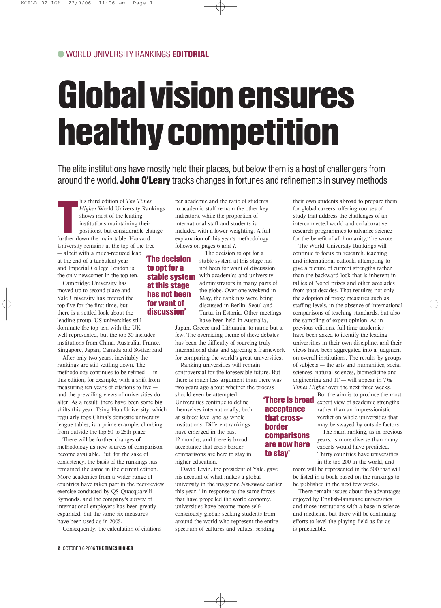## Global vision ensures healthy competition

The elite institutions have mostly held their places, but below them is a host of challengers from around the world. John O'Leary tracks changes in fortunes and refinements in survey methods

his third edition of *The Times*<br>Higher World University Rar<br>shows most of the leading<br>institutions maintaining their<br>positions, but considerable ch<br>further down the main table. Harvard his third edition of *The Times Higher* World University Rankings shows most of the leading institutions maintaining their positions, but considerable change University remains at the top of the tree — albeit with a much-reduced lead at the end of a turbulent year and Imperial College London is the only newcomer in the top ten.

Cambridge University has moved up to second place and Yale University has entered the top five for the first time, but there is a settled look about the leading group. US universities still dominate the top ten, with the UK well represented, but the top 30 includes institutions from China, Australia, France, Singapore, Japan, Canada and Switzerland.

After only two years, inevitably the rankings are still settling down. The methodology continues to be refined — in this edition, for example, with a shift from measuring ten years of citations to five and the prevailing views of universities do alter. As a result, there have been some big shifts this year. Tsing Hua University, which regularly tops China's domestic university league tables, is a prime example, climbing from outside the top 50 to 28th place.

There will be further changes of methodology as new sources of comparison become available. But, for the sake of consistency, the basis of the rankings has remained the same in the current edition. More academics from a wider range of countries have taken part in the peer-review exercise conducted by QS Quacquarelli Symonds, and the company's survey of international employers has been greatly expanded, but the same six measures have been used as in 2005.

Consequently, the calculation of citations

per academic and the ratio of students to academic staff remain the other key indicators, while the proportion of international staff and students is included with a lower weighting. A full explanation of this year's methodology follows on pages 6 and 7.

#### 'The decision to opt for a stable system at this stage has not been for want of discussion'

The decision to opt for a stable system at this stage has not been for want of discussion with academics and university administrators in many parts of the globe. Over one weekend in May, the rankings were being discussed in Berlin, Seoul and Tartu, in Estonia. Other meetings have been held in Australia,

Japan, Greece and Lithuania, to name but a few. The overriding theme of these debates has been the difficulty of sourcing truly international data and agreeing a framework for comparing the world's great universities.

Ranking universities will remain controversial for the foreseeable future. But there is much less argument than there was two years ago about whether the process

should even be attempted. Universities continue to define themselves internationally, both at subject level and as whole institutions. Different rankings have emerged in the past 12 months, and there is broad acceptance that cross-border comparisons are here to stay in higher education.

David Levin, the president of Yale, gave his account of what makes a global university in the magazine *Newsweek* earlier this year. "In response to the same forces that have propelled the world economy, universities have become more selfconsciously global: seeking students from around the world who represent the entire spectrum of cultures and values, sending

their own students abroad to prepare them for global careers, offering courses of study that address the challenges of an interconnected world and collaborative research programmes to advance science for the benefit of all humanity," he wrote.

The World University Rankings will continue to focus on research, teaching and international outlook, attempting to give a picture of current strengths rather than the backward look that is inherent in tallies of Nobel prizes and other accolades from past decades. That requires not only the adoption of proxy measures such as staffing levels, in the absence of international comparisons of teaching standards, but also the sampling of expert opinion. As in previous editions, full-time academics have been asked to identify the leading universities in their own discipline, and their views have been aggregated into a judgment on overall institutions. The results by groups of subjects — the arts and humanities, social sciences, natural sciences, biomedicine and engineering and IT — will appear in *The Times Higher* over the next three weeks.

But the aim is to produce the most **There is broad** expert view of academic strengths rather than an impressionistic verdict on whole universities that may be swayed by outside factors.

> The main ranking, as in previous years, is more diverse than many experts would have predicted. Thirty countries have universities in the top 200 in the world, and

more will be represented in the 500 that will be listed in a book based on the rankings to be published in the next few weeks.

There remain issues about the advantages enjoyed by English-language universities and those institutions with a base in science and medicine, but there will be continuing efforts to level the playing field as far as is practicable.

#### 2 OCTOBER 6 2006 THE TIMES HIGHER

acceptance that crossborder comparisons are now here to stay'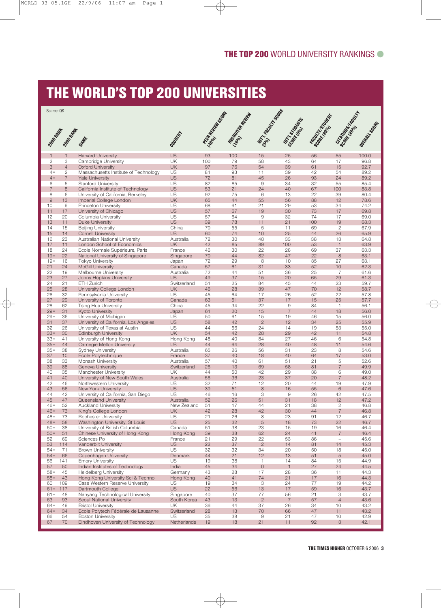### THE WORLD'S TOP 200 UNIVERSITIES

| Source: QS          |                     |                                                                 |                          | <b>RESEARCH SOCIETY</b> |                  | <b>MTTLADON SORRE</b>     |                               |              | Scribed Maria Richard          |                  |
|---------------------|---------------------|-----------------------------------------------------------------|--------------------------|-------------------------|------------------|---------------------------|-------------------------------|--------------|--------------------------------|------------------|
|                     |                     |                                                                 |                          |                         | I Read Road Road |                           | MrT1 Strategy                 | Staten House |                                |                  |
|                     |                     |                                                                 |                          |                         |                  |                           |                               |              |                                |                  |
|                     | 2006 RMW WITH MIN   |                                                                 | Cooling                  |                         |                  |                           |                               |              |                                | oakter Locater . |
|                     |                     |                                                                 |                          |                         |                  |                           |                               |              |                                |                  |
| 1<br>$\overline{2}$ | $\mathbf{1}$<br>3   | <b>Harvard University</b><br>Cambridge University               | <b>US</b><br>UK          | 93<br>100               | 100<br>79        | 15<br>58                  | 25<br>43                      | 56<br>64     | 55<br>17                       | 100.0<br>96.8    |
| 3                   | $\overline{4}$      | <b>Oxford University</b>                                        | <b>UK</b>                | 97                      | 76               | 54                        | 39                            | 61           | 15                             | 92.7             |
| $4=$<br>$4=$        | $\mathbf{2}$        | Massachusetts Institute of Technology                           | <b>US</b><br><b>US</b>   | 81<br>72                | 93<br>81         | 11<br>45                  | 39<br>26                      | 42<br>93     | 54<br>24                       | 89.2             |
| 6                   | $\overline{7}$<br>5 | <b>Yale University</b><br><b>Stanford University</b>            | US                       | 82                      | 85               | 9                         | 34                            | 32           | 55                             | 89.2<br>85.4     |
| $\overline{7}$      | 8                   | California Institute of Technology                              | <b>US</b>                | 53                      | 21               | 24                        | 40                            | 67           | 100                            | 83.8             |
| 8<br>$\mathsf 9$    | 6<br>13             | University of California, Berkeley<br>Imperial College London   | <b>US</b><br><b>UK</b>   | 92<br>65                | 75<br>44         | 6<br>55                   | 13<br>56                      | 22<br>88     | 39<br>12                       | 80.4<br>78.6     |
| 10                  | 9                   | Princeton University                                            | US                       | 68                      | 61               | 21                        | 29                            | 53           | 34                             | 74.2             |
| 11                  | 17                  | University of Chicago                                           | <b>US</b>                | 57                      | 67               | 19                        | 30                            | 73           | 17                             | 69.8             |
| 12<br>13            | 20<br>11            | Columbia University<br><b>Duke University</b>                   | <b>US</b><br><b>US</b>   | 57<br>39                | 64<br>78         | $\hbox{9}$<br>11          | 32<br>21                      | 74<br>100    | 17<br>19                       | 69.0<br>68.3     |
| 14                  | 15                  | <b>Beijing University</b>                                       | China                    | 70                      | 55               | 5                         | 11                            | 69           | $\mathbf{2}$                   | 67.9             |
| 15                  | 14                  | <b>Cornell University</b>                                       | <b>US</b>                | 60                      | 74               | 10                        | 25                            | 44           | 26                             | 65.9             |
| 16<br>17            | 23<br>11            | Australian National University<br>London School of Economics    | Australia<br><b>UK</b>   | 72<br>42                | 30<br>85         | 48<br>89                  | 33<br>100                     | 38<br>53     | 13<br>$\mathbf{1}$             | 64.8<br>63.9     |
| 18                  | 24                  | Ecole Normale Supérieure, Paris                                 | France                   | 46                      | 30               | 22                        | 28                            | 69           | 37                             | 63.3             |
| $19 =$              | 22                  | National University of Singapore                                | Singapore                | 70                      | 44               | 82                        | 47                            | 22           | 8                              | 63.1             |
| $19 =$<br>21        | 16<br>24            | <b>Tokyo University</b><br><b>McGill University</b>             | Japan<br>Canada          | 72<br>57                | 29<br>61         | 8<br>31                   | 10<br>33                      | 35<br>52     | 27<br>10                       | 63.1<br>62.3     |
| 22                  | 19                  | Melbourne University                                            | Australia                | 72                      | 44               | 51                        | 36                            | 25           | 7                              | 61.6             |
| 23                  | 27                  | Johns Hopkins University                                        | <b>US</b>                | 49                      | 37               | 15                        | 20                            | 65           | 29                             | 61.3             |
| 24<br>25            | 21<br>28            | ETH Zurich<br>University College London                         | Switzerland<br><b>UK</b> | 51<br>46                | 25<br>28         | 84<br>39                  | 45<br>47                      | 44<br>70     | 23<br>12                       | 59.7<br>58.7     |
| 26                  | 32                  | Pennsylvania University                                         | <b>US</b>                | 45                      | 64               | 17                        | 26                            | 52           | 22                             | 57.8             |
| 27                  | 29                  | University of Toronto                                           | Canada                   | 63                      | 51               | 37                        | 17                            | 15           | 25                             | 57.7             |
| 28<br>$29=$         | 62<br>31            | Tsing Hua University<br><b>Kyoto University</b>                 | China<br>Japan           | 45<br>61                | 34<br>20         | 22<br>15                  | $\mathsf 9$<br>$\overline{7}$ | 84<br>44     | $\overline{1}$<br>18           | 56.1<br>56.0     |
| $29=$               | 36                  | University of Michigan                                          | <b>US</b>                | 50                      | 61               | 15                        | 19                            | 46           | 15                             | 56.0             |
| 31                  | 37                  | University of California, Los Angeles                           | <b>US</b>                | 58                      | 42               | $\overline{2}$            | 12                            | 34           | 25                             | 55.9             |
| 32<br>$33=$         | 26<br>30            | University of Texas at Austin<br><b>Edinburgh University</b>    | US<br><b>UK</b>          | 44<br>54                | 56<br>42         | 24<br>28                  | 14<br>29                      | 19<br>42     | 53<br>11                       | 55.0<br>54.8     |
| $33=$               | 41                  | University of Hong Kong                                         | Hong Kong                | 48                      | 40               | 84                        | 27                            | 46           | 6                              | 54.8             |
| $35=$               | 44                  | Carnegie Mellon University                                      | <b>US</b>                | 44                      | 64               | 28                        | 40                            | 48           | 11                             | 54.6             |
| $35=$<br>37         | 38<br>10            | <b>Sydney University</b><br>Ecole Polytechnique                 | Australia<br>France      | 65<br>37                | 26<br>40         | 56<br>18                  | 31<br>40                      | 23<br>64     | 8<br>17                        | 54.6<br>53.0     |
| 38                  | 33                  | Monash University                                               | Australia                | 57                      | 40               | 61                        | 51                            | 21           | 5                              | 52.6             |
| 39                  | 88                  | Geneva University                                               | Switzerland              | 26                      | 13               | 69                        | 58                            | 81           | $\overline{7}$                 | 49.9             |
| 40<br>41            | 35<br>40            | Manchester University<br>University of New South Wales          | <b>UK</b><br>Australia   | 44<br>56                | 50<br>36         | 42<br>23                  | 29<br>37                      | 38<br>20     | 6<br>$\overline{7}$            | 49.0<br>48.2     |
| 42                  | 46                  | Northwestern University                                         | <b>US</b>                | 32                      | 71               | 12                        | 20                            | 44           | 19                             | 47.9             |
| 43                  | 56                  | <b>New York University</b>                                      | <b>US</b>                | 39                      | 51               | 8                         | 16                            | 55           | 6                              | 47.6             |
| 44<br>45            | 42<br>47            | University of California, San Diego<br>Queensland University    | <b>US</b><br>Australia   | 46<br>52                | 16<br>26         | 3<br>51                   | 9<br>31                       | 26<br>18     | 42<br>12                       | 47.5<br>47.2     |
| $46=$               | 52                  | <b>Auckland University</b>                                      | New Zealand              | 51                      | 17               | 44                        | 21                            | 38           | $\overline{c}$                 | 46.8             |
| $46=$               | 73                  | King's College London                                           | UK.                      | 42                      | 28               | 42                        | 30                            | 44           | 7                              | 46.8             |
| $48 =$<br>$48 =$    | 73<br>58            | Rochester University<br>Washington University, St Louis         | <b>US</b><br><b>US</b>   | 21<br>25                | 26<br>32         | 8<br>5                    | 23<br>18                      | 91<br>73     | 12<br>22                       | 46.7<br>46.7     |
| $50 =$              | 38                  | University of British Columbia                                  | Canada                   | 51                      | 38               | 23                        | 15                            | 19           | 16                             | 46.4             |
| $50 =$              | 51                  | Chinese University of Hong Kong                                 | Hong Kong                | 39                      | 38               | 62                        | 24                            | 41           | $\overline{7}$                 | 46.4             |
| 52<br>53            | 69<br>114           | Sciences Po<br>Vanderbilt University                            | France<br><b>US</b>      | 21<br>22                | 29<br>37         | 22<br>$\sqrt{2}$          | 53<br>14                      | 86<br>81     | $\overline{\phantom{a}}$<br>14 | 45.6<br>45.3     |
| $54 =$              | 71                  | <b>Brown University</b>                                         | <b>US</b>                | 32                      | 32               | 34                        | 20                            | 50           | 18                             | 45.0             |
| $54=$               | 66                  | Copenhagen University                                           | Denmark                  | 44                      | 21               | 12                        | 13                            | 51           | 5                              | 45.0             |
| 56<br>57            | 141                 | <b>Emory University</b>                                         | <b>US</b><br>India       | 19                      | 38<br>34         | 1                         | 14                            | 84           | 15                             | 44.9<br>44.5     |
| $58 =$              | 50<br>45            | Indian Institutes of Technology<br><b>Heidelberg University</b> | Germany                  | 45<br>43                | 28               | $\mathsf{O}\xspace$<br>17 | $\mathbf{1}$<br>28            | 27<br>36     | 24<br>11                       | 44.3             |
| $58=$               | 43                  | Hong Kong University Sci & Technol                              | Hong Kong                | 40                      | 41               | 74                        | 21                            | 17           | 16                             | 44.3             |
| 60                  | 109                 | Case Western Reserve University                                 | <b>US</b>                | 19                      | 34               | 3                         | 24                            | 77           | 19                             | 44.2             |
| $61 =$<br>$61 =$    | 117<br>48           | Dartmouth College<br>Nanyang Technological University           | <b>US</b><br>Singapore   | 22<br>40                | 56<br>37         | 13<br>77                  | 17<br>56                      | 59<br>21     | 16<br>3                        | 43.7<br>43.7     |
| 63                  | 93                  | Seoul National University                                       | South Korea              | 43                      | 13               | $\mathbf{2}$              | $\overline{7}$                | 57           | $\overline{4}$                 | 43.6             |
| $64 =$              | 49                  | <b>Bristol University</b>                                       | UK                       | 36                      | 44               | 37                        | 26                            | 34           | 10                             | 43.2             |
| $64 =$<br>66        | 34<br>54            | Ecole Polytech Fédérale de Lausanne<br><b>Boston University</b> | Switzerland<br><b>US</b> | 28<br>35                | 13<br>38         | 70<br>$\mathsf 9$         | 66<br>21                      | 47<br>47     | 11<br>10                       | 43.2<br>42.9     |
| 67                  | 70                  | Eindhoven University of Technology                              | Netherlands              | 19                      | 18               | 21                        | 11                            | 92           | 3                              | 42.1             |
|                     |                     |                                                                 |                          |                         |                  |                           |                               |              |                                |                  |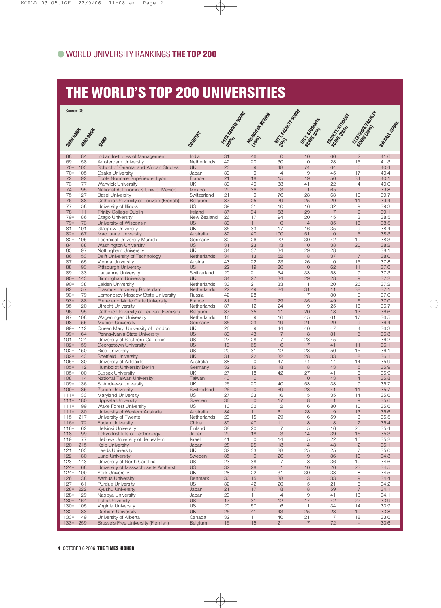### THE WORLD'S TOP 200 UNIVERSITIES

| Source: QS            |            |                                                                    |                          |                        |                                |                      |                      |                        |                                 |                  |
|-----------------------|------------|--------------------------------------------------------------------|--------------------------|------------------------|--------------------------------|----------------------|----------------------|------------------------|---------------------------------|------------------|
|                       |            |                                                                    |                          | <b>RESEARCH MONTES</b> | <b>Manufacture River River</b> | MATICAL ASSASS       | <b>MTTTO STATES</b>  | State 1, 15 days after | <b>Grandom</b><br>Social Reader | Oltrapic Scrapet |
| 2006 RMW              | 2005 APM   |                                                                    | COUNTY                   |                        |                                |                      |                      |                        |                                 |                  |
|                       |            | MARK                                                               |                          |                        |                                |                      |                      |                        |                                 |                  |
| 68<br>69              | 84<br>58   | Indian Institutes of Management<br>Amsterdam University            | India<br>Netherlands     | 31<br>42               | 46<br>20                       | $\overline{0}$<br>30 | 10<br>10             | 60<br>28               | $\mathbf{2}$<br>15              | 41.6<br>41.3     |
| $70 =$                | 103        | School of Oriental and African Studies                             | <b>UK</b>                | 23                     | $\overline{9}$                 | 48                   | 74                   | 64                     | $\mathbf{0}$                    | 40.4             |
| $70 =$                | 105        | Osaka University                                                   | Japan                    | 39                     | 0                              | $\overline{4}$       | 9                    | 45                     | 17                              | 40.4             |
| 72                    | 92         | Ecole Normale Supérieure, Lyon                                     | France                   | 21                     | 18                             | 15                   | 19                   | 50                     | 34                              | 40.1             |
| 73                    | 77         | Warwick University                                                 | UK                       | 39                     | 40                             | 38                   | 41                   | 22                     | $\overline{4}$                  | 40.0             |
| 74<br>75              | 95<br>127  | National Autonomous Univ of Mexico                                 | Mexico<br>Switzerland    | 29<br>21               | 36<br>0                        | 3<br>76              | $\overline{1}$<br>28 | 65<br>63               | $\circ$<br>10                   | 39.8<br>39.7     |
| 76                    | 88         | <b>Basel University</b><br>Catholic University of Louvain (French) | Belgium                  | 37                     | 25                             | 29                   | 25                   | 29                     | 11                              | 39.4             |
| 77                    | 58         | University of Illinois                                             | US                       | 39                     | 31                             | 10                   | 16                   | 32                     | 9                               | 39.3             |
| 78                    | 111        | <b>Trinity College Dublin</b>                                      | Ireland                  | 37                     | 34                             | 58                   | 29                   | 17                     | $\mathsf{9}$                    | 39.1             |
| $79 =$                | 186        | Otago University                                                   | New Zealand              | 26                     | 17                             | 94                   | 20                   | 45                     | 3                               | 38.5             |
| $79 =$                | 73         | University of Wisconsin                                            | <b>US</b>                | 39                     | 11                             | $\circ$              | 14                   | 35                     | 16                              | 38.5             |
| 81                    | 101        | Glasgow University                                                 | UK                       | 35                     | 33                             | 17                   | 16                   | 35                     | $\mathsf 9$                     | 38.4             |
| $82 =$<br>$82 =$      | 67<br>105  | Macquarie University<br><b>Technical University Munich</b>         | Australia<br>Germany     | 32<br>30               | 40<br>26                       | 100<br>22            | 51<br>30             | 10<br>42               | 5<br>10                         | 38.3<br>38.3     |
| 84                    | 88         | <b>Washington University</b>                                       | <b>US</b>                | 31                     | 23                             | 13                   | 10                   | 38                     | 20                              | 38.2             |
| 85                    | 97         | Nottingham University                                              | UK                       | 34                     | 37                             | 34                   | 29                   | 28                     | 6                               | 38.1             |
| 86                    | 53         | Delft University of Technology                                     | Netherlands              | 34                     | 13                             | 52                   | 18                   | 37                     | $\overline{7}$                  | 38.0             |
| 87                    | 65         | Vienna University                                                  | Austria                  | 43                     | 22                             | 23                   | 26                   | 10                     | 15                              | 37.8             |
| 88                    | 193        | Pittsburgh University                                              | <b>US</b>                | 22                     | 19                             | 20                   | 10                   | 62                     | 11                              | 37.6             |
| 89                    | 133        | Lausanne University                                                | Switzerland<br><b>UK</b> | 20                     | 21                             | 54                   | 33                   | 53                     | $\mathsf 9$<br>$\overline{9}$   | 37.3             |
| $90 =$<br>$90 =$      | 143<br>138 | <b>Birmingham University</b><br>Leiden University                  | Netherlands              | 34<br>33               | 27<br>21                       | 34<br>33             | 29<br>11             | 28<br>20               | 26                              | 37.2<br>37.2     |
| 92                    | 57         | Erasmus University Rotterdam                                       | Netherlands              | 22                     | 49                             | 24                   | 31                   | 11                     | 38                              | 37.1             |
| $93 =$                | 79         | Lomonosov Moscow State University                                  | Russia                   | 42                     | 28                             | $\overline{1}$       | $\overline{7}$       | 30                     | 3                               | 37.0             |
| $93 =$                | 88         | Pierre and Marie Curie University                                  | France                   | 31                     | $\circ$                        | 29                   | 35                   | 49                     | 6                               | 37.0             |
| 95                    | 120        | Utrecht University                                                 | Netherlands              | 37                     | 12                             | 24                   | $\mathsf 9$          | 25                     | 18                              | 36.7             |
| 96                    | 95         | Catholic University of Leuven (Flemish)                            | Belgium                  | 37                     | 35                             | 11                   | 20                   | 18                     | 13                              | 36.6             |
| 97<br>98              | 108<br>55  | Wageningen University                                              | Netherlands<br>Germany   | 16<br>35               | 9<br>23                        | 16<br>19             | 45<br>21             | 61<br>29               | 17<br>$\overline{9}$            | 36.5<br>36.4     |
| $99 =$                | 112        | <b>Munich University</b><br>Queen Mary, University of London       | UK                       | 26                     | 9                              | 44                   | 40                   | 47                     | $\overline{4}$                  | 36.3             |
| $99 =$                | 64         | Pennsylvania State University                                      | <b>US</b>                | 33                     | 43                             | $\overline{7}$       | 8                    | 31                     | 6                               | 36.3             |
| 101                   | 124        | University of Southern California                                  | US                       | 27                     | 28                             | $\overline{7}$       | 28                   | 45                     | 9                               | 36.2             |
| $102 =$               | 159        | Georgetown University                                              | <b>US</b>                | 19                     | 65                             | 6                    | 17                   | 41                     | 11                              | 36.1             |
| $102 =$               | 150        | <b>Rice University</b>                                             | US                       | 20                     | 31                             | 12                   | 23                   | 50                     | 15                              | 36.1             |
| $102 =$               | 143        | <b>Sheffield University</b>                                        | <b>UK</b>                | 31<br>38               | 22                             | 32<br>47             | 28                   | 33<br>14               | 8                               | 36.1<br>35.9     |
| $105 =$<br>$105 =$    | 80<br>112  | University of Adelaide<br><b>Humboldt University Berlin</b>        | Australia<br>Germany     | 32                     | 0<br>15                        | 18                   | 44<br>18             | 43                     | 14<br>5                         | 35.9             |
| $105 =$               | 100        | <b>Sussex University</b>                                           | UK                       | 27                     | 18                             | 42                   | 27                   | 41                     | 6                               | 35.9             |
| 108                   | 114        | National Taiwan University                                         | Taiwan                   | 40                     | $\mathbf{O}$                   | $\overline{1}$       | $\circ$              | 43                     | $\overline{4}$                  | 35.8             |
| $109 = 136$           |            | <b>St Andrews University</b>                                       | UK                       | 26                     | 20                             | 40                   | 53                   | 33                     | 9                               | 35.7             |
| $109 =$               | 85         | <b>Zurich University</b>                                           | Switzerland              | 26                     | $\mathbf{O}$                   | 69                   | 23                   | 41                     | 11                              | 35.7             |
| $111 =$               | 133        | Maryland University                                                | US                       | 27<br>36               | 33<br>$\overline{O}$           | 16<br>17             | 15<br>8              | 35<br>41               | 14<br>$\overline{9}$            | 35.6             |
| $111 =$<br>$111 =$    | 180<br>199 | Uppsala University<br><b>Wake Forest University</b>                | Sweden<br>US             | 10                     | 32                             | 2                    | 6                    | 80                     | 10                              | 35.6<br>35.6     |
| $111 =$               | 80         | University of Western Australia                                    | Australia                | 34                     | 11                             | 61                   | 28                   | 19                     | 13                              | 35.6             |
| 115                   | 217        | University of Twente                                               | Netherlands              | 23                     | 15                             | 29                   | 16                   | 59                     | 3                               | 35.5             |
| $116=$                | 72         | <b>Fudan University</b>                                            | China                    | 39                     | 47                             | 11                   | $\mathbf{8}$         | 18                     | $\sqrt{2}$                      | 35.4             |
| $116=$                | 62         | Helsinki University                                                | Finland                  | 38                     | 20                             | 7                    | 5                    | 16                     | 20                              | 35.4             |
| 118                   | 99         | Tokyo Institute of Technology<br>Hebrew University of Jerusalem    | Japan                    | 29                     | 18                             | 3                    | 14                   | 39                     | 16                              | 35.3             |
| 119<br>120            | 77<br>215  | Keio University                                                    | Israel<br>Japan          | 41<br>28               | 0<br>25                        | 14<br>18             | 5<br>$\overline{4}$  | 22<br>48               | 16<br>$\mathbf{2}$              | 35.2<br>35.1     |
| 121                   | 103        | Leeds University                                                   | UK                       | 32                     | 33                             | 28                   | 25                   | 25                     | $\overline{7}$                  | 35.0             |
| 122                   | 180        | <b>Lund University</b>                                             | Sweden                   | 35                     | $\circ$                        | 26                   | $\hbox{9}$           | 36                     | 10                              | 34.8             |
| 123                   | 143        | University of North Carolina                                       | US                       | 23                     | 38                             | $\overline{7}$       | 8                    | 36                     | 19                              | 34.6             |
| $124=$                | 68         | University of Massachusetts Amherst                                | <b>US</b>                | 32                     | 28                             | $\overline{1}$       | 10                   | 20                     | 23                              | 34.5             |
| $124=$                | 109        | York University                                                    | UK                       | 28                     | 22                             | 31                   | 30                   | 33                     | 8                               | 34.5             |
| 126<br>127            | 138<br>61  | Aarhus University<br>Purdue University                             | Denmark<br>US            | 30<br>32               | 15<br>42                       | 38<br>20             | 13<br>15             | 33<br>21               | $\overline{9}$<br>6             | 34.4<br>34.2     |
| $128 = 222$           |            | Kyushu University                                                  | Japan                    | 21                     | 17                             | 8                    | $\mathbf{8}$         | 59                     | $\overline{7}$                  | 34.1             |
| $128 =$               | 129        | Nagoya University                                                  | Japan                    | 29                     | 11                             | $\overline{4}$       | 9                    | 41                     | 13                              | 34.1             |
| $130 = 164$           |            | <b>Tufts University</b>                                            | <b>US</b>                | $17$                   | 31                             | 12                   | 17                   | 42                     | 22                              | 33.9             |
| $130 = 105$           |            | Virginia University                                                | US                       | 20                     | 57                             | 6                    | 11                   | 34                     | 14                              | 33.9             |
| 132                   | 83         | Durham University                                                  | <b>UK</b>                | 25                     | 41                             | 43                   | 25                   | 23                     | 10                              | 33.8             |
| $133=$<br>$133 = 259$ | 149        | University of Alberta<br><b>Brussels Free University (Flemish)</b> | Canada<br>Belgium        | 32<br>16               | 11<br>15                       | 40<br>21             | 21<br>$17\,$         | 17<br>$72\,$           | 18<br>$\equiv$                  | 33.6<br>33.6     |
|                       |            |                                                                    |                          |                        |                                |                      |                      |                        |                                 |                  |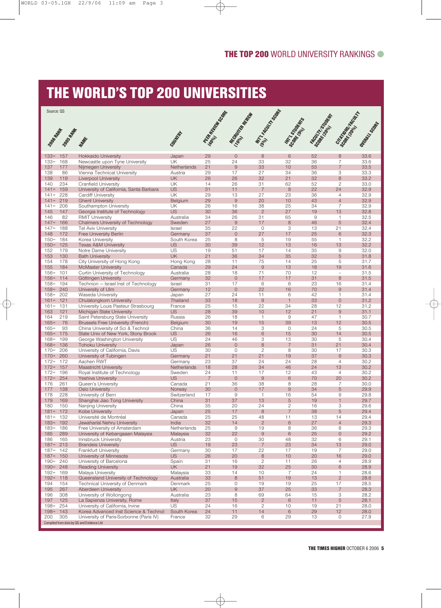### THE WORLD'S TOP 200 UNIVERSITIES

| Source: QS            |            |                                                                           |                          |                             |                        |                      |                      |                          |                                |                       |
|-----------------------|------------|---------------------------------------------------------------------------|--------------------------|-----------------------------|------------------------|----------------------|----------------------|--------------------------|--------------------------------|-----------------------|
|                       |            |                                                                           |                          |                             |                        |                      |                      |                          |                                |                       |
|                       | 2008年1月1日  | MANAR                                                                     | Country                  | <b>PECAR REPAIR SOCIETY</b> | Marian Richard Rich    | <b>MTITLE ROOM</b>   | Mr. organización     | <b>FROM THE ORIGINAL</b> | Scriptor des Royal             | <b>Outeral Lister</b> |
|                       |            |                                                                           |                          |                             |                        |                      |                      |                          |                                |                       |
| $133=$<br>$133=$      | 157<br>168 | <b>Hokkaido University</b><br>Newcastle upon Tyne University              | Japan<br><b>UK</b>       | 29<br>25                    | $\circ$<br>24          | 8<br>33              | 6<br>32              | 52<br>36                 | 8<br>$\overline{7}$            | 33.6<br>33.6          |
| 137                   | 177        | Nijmegen University                                                       | Netherlands              | 21                          | $\mathsf{9}$           | 33                   | 10                   | 55                       | $\overline{7}$                 | 33.5                  |
| 138                   | 86         | Vienna Technical University                                               | Austria                  | 29                          | 17                     | 27                   | 34                   | 36                       | 3                              | 33.3                  |
| 139<br>140            | 119<br>234 | <b>Liverpool University</b>                                               | <b>UK</b><br><b>UK</b>   | 26<br>14                    | 26<br>26               | 32<br>31             | 21<br>62             | 32<br>52                 | 8<br>$\overline{2}$            | 33.2<br>33.0          |
| $141 =$               | 159        | <b>Cranfield University</b><br>University of California, Santa Barbara    | <b>US</b>                | 31                          | 11                     | $\overline{7}$       | 8                    | 22                       | 24                             | 32.9                  |
| $141 =$               | 228        | Cardiff University                                                        | UK                       | 29                          | 13                     | 27                   | 23                   | 36                       | $\overline{4}$                 | 32.9                  |
| $141 =$               | 219        | <b>Ghent University</b>                                                   | Belgium                  | 29                          | 9                      | 20                   | 10                   | 43                       | $\overline{4}$                 | 32.9                  |
| $141 =$               | 206        | Southampton University                                                    | <b>UK</b>                | 26                          | 16                     | 38                   | 25                   | 34                       | $\overline{7}$                 | 32.9                  |
| 145<br>146            | 147<br>82  | Georgia Institute of Technology<br><b>RMIT University</b>                 | <b>US</b><br>Australia   | 30<br>34                    | 36<br>26               | $\overline{2}$<br>31 | 27<br>65             | 19<br>9                  | 13<br>$\mathbf{1}$             | 32.8<br>32.5          |
| $147=$                | 166        | <b>Chalmers University of Technology</b>                                  | Sweden                   | 27                          | $\mathsf{9}$           | 17                   | 8                    | 46                       | 5                              | 32.4                  |
| $147=$                | 188        | <b>Tel Aviv University</b>                                                | Israel                   | 35                          | 22                     | 0                    | 3                    | 13                       | 21                             | 32.4                  |
| 148                   | 172        | Free University Berlin                                                    | Germany                  | 37                          | $\overline{0}$         | 27                   | 17                   | 25                       | 6                              | 32.3                  |
| $150 =$<br>$150=$     | 184<br>125 | Korea University<br><b>Texas A&amp;M University</b>                       | South Korea<br><b>US</b> | 25<br>30                    | 8<br>39                | 5<br>12              | 19<br>13             | 55<br>16                 | 1<br>13                        | 32.2<br>32.2          |
| 152                   | 179        | Notre Dame University                                                     | <b>US</b>                | 19                          | 51                     | 17                   | 14                   | 35                       | 9                              | 32.0                  |
| 153                   | 130        | <b>Bath University</b>                                                    | <b>UK</b>                | 21                          | 36                     | 34                   | 35                   | 32                       | 5                              | 31.8                  |
| 154                   | 178        | City University of Hong Kong                                              | Hong Kong                | 28                          | 11                     | 75                   | 14                   | 25                       | 5                              | 31.7                  |
| 155<br>$156=$         | 184<br>101 | <b>McMaster University</b><br>Curtin University of Technology             | Canada<br>Australia      | 29<br>28                    | 24<br>18               | $\overline{9}$<br>71 | 13<br>70             | 18<br>12                 | 19<br>$\overline{\phantom{a}}$ | 31.6<br>31.5          |
| $156 =$               | 114        | Göttingen University                                                      | Germany                  | 32                          | $\overline{0}$         | 17                   | 17                   | 31                       | 8                              | 31.5                  |
| $158 =$               | 194        | Technion - Israel Inst of Technology                                      | Israel                   | 31                          | 17                     | 6                    | 6                    | 23                       | 16                             | 31.4                  |
| $158 =$               | 240        | University of Ulm                                                         | Germany                  | 12                          | $\overline{0}$         | 22                   | 16                   | 70                       | 9                              | 31.4                  |
| $158 =$               | 202        | Waseda University                                                         | Japan                    | 27                          | 24                     | 11                   | 6                    | 42                       | 1                              | 31.4                  |
| $161 =$<br>$161 =$    | 121<br>131 | Chulalongkorn University<br>University Louis Pasteur Strasbourg           | Thailand<br>France       | 33<br>25                    | 18<br>15               | 9<br>22              | $\overline{1}$<br>34 | 33<br>28                 | $\overline{0}$<br>12           | 31.2<br>31.2          |
| 163                   | 121        | Michigan State University                                                 | <b>US</b>                | 28                          | 39                     | 10                   | 12                   | 21                       | $\overline{9}$                 | 31.1                  |
| 164                   | 219        | Saint Petersburg State University                                         | Russia                   | 26                          | 18                     | $\overline{1}$       | 9                    | 47                       | $\mathbf{1}$                   | 30.7                  |
| $165=$                | 76         | <b>Brussels Free University (French)</b>                                  | Belgium                  | 30                          | 19                     | 15                   | 39                   | 13                       | 12                             | 30.5                  |
| $165=$                | 93         | China University of Sci & Technol                                         | China                    | 36<br>26                    | 14<br>16               | 3<br>6               | 0<br>15              | 24                       | 5<br>14                        | 30.5                  |
| $165=$<br>$168 =$     | 175<br>199 | State Univ of New York, Stony Brook<br>George Washington University       | <b>US</b><br><b>US</b>   | 24                          | 46                     | 3                    | 13                   | 30<br>30                 | 5                              | 30.5<br>30.4          |
| $168 =$               | 136        | <b>Tohoku University</b>                                                  | Japan                    | 26                          | $\circ$                | 8                    | $\overline{7}$       | 31                       | 21                             | 30.4                  |
| $170=$                | 206        | University of California, Davis                                           | <b>US</b>                | 30                          | $\circ$                | $\overline{2}$       | 8                    | 30                       | 17                             | 30.3                  |
| $170=$                | 260        | University of Tubingen                                                    | Germany                  | 21                          | 21                     | 21                   | 19                   | 37                       | $\overline{9}$                 | 30.3                  |
| $172 =$<br>$172 =$    | 172<br>157 | Aachen RWT<br><b>Maastricht University</b>                                | Germany<br>Netherlands   | 23<br>18                    | 37<br>28               | 24<br>34             | 24<br>46             | 28<br>24                 | $\overline{4}$<br>13           | 30.2<br>30.2          |
| $172 =$               | 196        | Royal Institute of Technology                                             | Sweden                   | 24                          | 11                     | 17                   | 12                   | 43                       | $\overline{4}$                 | 30.2                  |
| $172 =$               | 254        | <b>Yeshiva University</b>                                                 | <b>US</b>                | $\overline{7}$              | $\circ$                | $\overline{9}$       | 6                    | 70                       | 20                             | 30.2                  |
| 176                   | 261        | Queen's University                                                        | Canada                   | 21                          | 36                     | 38                   | 8                    | 28                       | 7                              | 30.0                  |
| 177<br>178            | 138<br>228 | <b>Oslo University</b><br>University of Bern                              | Norway<br>Switzerland    | 30<br>17                    | $\overline{0}$<br>9    | 17<br>$\overline{1}$ | $\mathsf{9}$<br>16   | 34<br>54                 | 5<br>9                         | 29.9<br>29.8          |
| 179                   | 169        | Shanghai Jiao Tong University                                             | China                    | 31                          | 37                     | 13                   | 5                    | 19                       | $\mathbf{1}$                   | 29.7                  |
| 180                   | 150        | Nanjing University                                                        | China                    | 35                          | 20                     | 24                   | $\mathbf{2}$         | 16                       | 3                              | 29.6                  |
| $181 = 172$           |            | Kobe University                                                           | Japan                    | 25                          | $17$                   | $\,8\,$              | $\overline{7}$       | 38                       | $\sqrt{5}$                     | 29.4                  |
| $181 = 132$<br>$183=$ | 192        | Université de Montréal<br>Jawaharlal Nehru University                     | Canada<br>India          | 25<br>32                    | 25<br>14               | 48<br>$\overline{2}$ | 11<br>6              | 13<br>27                 | 14<br>$\overline{4}$           | 29.4<br>29.3          |
| $183=$                | 186        | Free University of Amsterdam                                              | Netherlands              | 25                          | 9                      | 19                   | 8                    | 36                       | 8                              | 29.3                  |
| 185                   | 289        | University of Kebangsaan Malaysia                                         | Malaysia                 | 32                          | 22                     | $\hbox{9}$           | $\,$ 6 $\,$          | 25                       | $\mathsf{O}$                   | 29.2                  |
| 186                   | 165        | Innsbruck University                                                      | Austria                  | 23                          | $\circ$                | 30                   | 48                   | 32                       | 6                              | 29.1                  |
| $187 =$<br>$187 =$    | 213<br>142 | <b>Brandeis University</b><br>Frankfurt University                        | <b>US</b><br>Germany     | 19<br>30                    | 23<br>17               | $\overline{7}$<br>22 | 23<br>17             | 34<br>19                 | 13<br>$\overline{7}$           | 29.0<br>29.0          |
| $187 = 150$           |            | University of Minnesota                                                   | <b>US</b>                | 26                          | 20                     | $\,8\,$              | 10                   | 20                       | 16                             | 29.0                  |
| $190 =$               | 240        | University of Barcelona                                                   | Spain                    | 31                          | 16                     | $\mathbf{2}$         | 11                   | 26                       | 4                              | 28.9                  |
| $190 =$               | 248        | <b>Reading University</b>                                                 | <b>UK</b>                | 21                          | 19                     | 32                   | 25                   | 30                       | $\,$ 6 $\,$                    | 28.9                  |
| $192 =$               | 169        | Malaya University                                                         | Malaysia                 | 33                          | 14                     | 10                   | $\overline{7}$       | 24                       | $\mathbf{1}$                   | 28.6                  |
| $192 =$<br>194        | 118<br>154 | Queensland University of Technology<br>Technical University of Denmark    | Australia<br>Denmark     | 33<br>25                    | $\,8\,$<br>$\mathbb O$ | 51<br>19             | 19<br>19             | 13<br>25                 | $\overline{c}$<br>17           | 28.6<br>28.5          |
| 195                   | 267        | Aberdeen University                                                       | <b>UK</b>                | 20                          | $\mathsf{9}$           | 37                   | 25                   | 33                       | $\overline{7}$                 | 28.3                  |
| 196                   | 308        | University of Wollongong                                                  | Australia                | 23                          | 8                      | 69                   | 64                   | 15                       | 3                              | 28.2                  |
| 197                   | 125        | La Sapienza University, Rome                                              | Italy                    | 37                          | 15                     | $\overline{2}$       | 6                    | 11                       | $\sqrt{5}$                     | 28.1                  |
| $198 =$<br>$198 =$    | 254<br>143 | University of California, Irvine<br>Korea Advanced Inst Science & Technol | <b>US</b><br>South Korea | 24<br>24                    | 16<br>11               | $\mathbf{2}$<br>14   | 10<br>6              | 19<br>29                 | 21<br>12                       | 28.0<br>28.0          |
| 200                   | 305        | University of Paris-Sorbonne (Paris IV)                                   | France                   | 32                          | 29                     | 6                    | 29                   | 13                       | $\circ$                        | 27.9                  |
|                       |            | Complied from data by QS and Evidence Ltd                                 |                          |                             |                        |                      |                      |                          |                                |                       |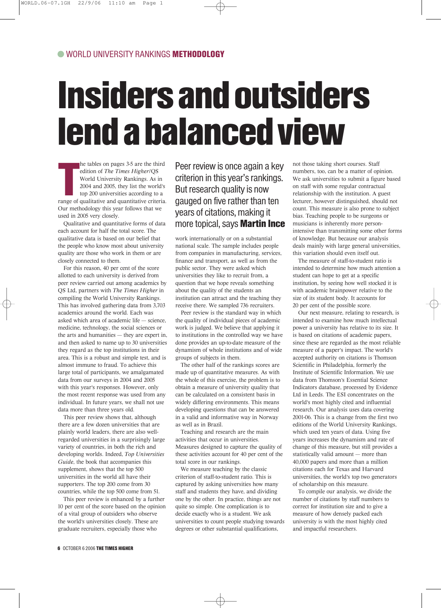## Insiders and outsiders lend a balanced view

the tables on pages 3-5 are the third<br>edition of *The Times Higher*/QS<br>World University Rankings. As in<br>2004 and 2005, they list the world's<br>top 200 universities according to a<br>range of qualitative and quantitative criteri he tables on pages 3-5 are the third edition of *The Times Higher*/QS World University Rankings. As in 2004 and 2005, they list the world's top 200 universities according to a Our methodology this year follows that we used in 2005 very closely.

Qualitative and quantitative forms of data each account for half the total score. The qualitative data is based on our belief that the people who know most about university quality are those who work in them or are closely connected to them.

For this reason, 40 per cent of the score allotted to each university is derived from peer review carried out among academics by QS Ltd, partners with *The Times Higher* in compiling the World University Rankings. This has involved gathering data from 3,703 academics around the world. Each was asked which area of academic life — science, medicine, technology, the social sciences or the arts and humanities — they are expert in, and then asked to name up to 30 universities they regard as the top institutions in their area. This is a robust and simple test, and is almost immune to fraud. To achieve this large total of participants, we amalgamated data from our surveys in 2004 and 2005 with this year's responses. However, only the most recent response was used from any individual. In future years, we shall not use data more than three years old.

This peer review shows that, although there are a few dozen universities that are plainly world leaders, there are also wellregarded universities in a surprisingly large variety of countries, in both the rich and developing worlds. Indeed, *Top Universities Guide*, the book that accompanies this supplement, shows that the top 500 universities in the world all have their supporters. The top 200 come from 30 countries, while the top 500 come from 51.

This peer review is enhanced by a further 10 per cent of the score based on the opinion of a vital group of outsiders who observe the world's universities closely. These are graduate recruiters, especially those who

Peer review is once again a key criterion in this year's rankings. But research quality is now gauged on five rather than ten years of citations, making it more topical, says **Martin Ince** 

work internationally or on a substantial national scale. The sample includes people from companies in manufacturing, services, finance and transport, as well as from the public sector. They were asked which universities they like to recruit from, a question that we hope reveals something about the quality of the students an institution can attract and the teaching they receive there. We sampled 736 recruiters.

Peer review is the standard way in which the quality of individual pieces of academic work is judged. We believe that applying it to institutions in the controlled way we have done provides an up-to-date measure of the dynamism of whole institutions and of wide groups of subjects in them.

The other half of the rankings scores are made up of quantitative measures. As with the whole of this exercise, the problem is to obtain a measure of university quality that can be calculated on a consistent basis in widely differing environments. This means developing questions that can be answered in a valid and informative way in Norway as well as in Brazil.

Teaching and research are the main activities that occur in universities. Measures designed to capture the quality of these activities account for 40 per cent of the total score in our rankings.

We measure teaching by the classic criterion of staff-to-student ratio. This is captured by asking universities how many staff and students they have, and dividing one by the other. In practice, things are not quite so simple. One complication is to decide exactly who is a student. We ask universities to count people studying towards degrees or other substantial qualifications,

not those taking short courses. Staff numbers, too, can be a matter of opinion. We ask universities to submit a figure based on staff with some regular contractual relationship with the institution. A guest lecturer, however distinguished, should not count. This measure is also prone to subject bias. Teaching people to be surgeons or musicians is inherently more personintensive than transmitting some other forms of knowledge. But because our analysis deals mainly with large general universities, this variation should even itself out.

The measure of staff-to-student ratio is intended to determine how much attention a student can hope to get at a specific institution, by seeing how well stocked it is with academic brainpower relative to the size of its student body. It accounts for 20 per cent of the possible score.

Our next measure, relating to research, is intended to examine how much intellectual power a university has relative to its size. It is based on citations of academic papers, since these are regarded as the most reliable measure of a paper's impact. The world's accepted authority on citations is Thomson Scientific in Philadelphia, formerly the Institute of Scientific Information. We use data from Thomson's Essential Science Indicators database, processed by Evidence Ltd in Leeds. The ESI concentrates on the world's most highly cited and influential research. Our analysis uses data covering 2001-06. This is a change from the first two editions of the World University Rankings, which used ten years of data. Using five years increases the dynamism and rate of change of this measure, but still provides a statistically valid amount — more than 40,000 papers and more than a million citations each for Texas and Harvard universities, the world's top two generators of scholarship on this measure.

To compile our analysis, we divide the number of citations by staff numbers to correct for institution size and to give a measure of how densely packed each university is with the most highly cited and impactful researchers.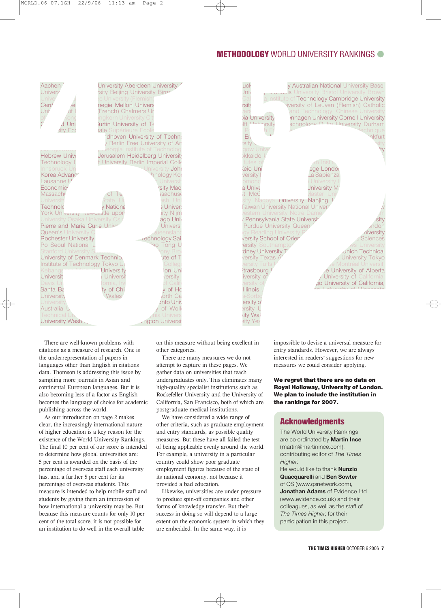#### METHODOLOGY WORLD UNIVERSITY RANKINGS

| Aachen<br>Univers<br>Unive<br>Card<br>Uni<br>$\overline{C}$<br>- Uni<br>$s$ ity Eco                                                                                                                                                                                                                                                                                                                                                                                                                                                                            | rsity Beijing University Birm <sup>;</sup><br>e University (Flemish)<br>negie Mellon Univers<br>(French) Chalmers Ur<br>ngkorn University Cit<br>Jurtin University of Te<br><b>ale Supérieure Ecole</b> | University Aberdeen University '<br>idhoven University of Techno<br>Berlin Free University of An                                                                                                                                                                                                                                                                                                                                                   | uck<br>Jniv<br>Cal<br><b>rsity</b><br>via Universitv<br>Ift Linimrsity<br>Er<br>sitv J                                                                                                                                                                                                                                                                       | y Australian National University Basel<br><b>y Diamodis</b> University Bristol University Brown<br>a Institute of T <mark>echnology Cambridge Universit</mark> y<br>viversity of Leuven (Flemish) Catholic<br>and Technology  Chinese University<br>inhagen University Cornell University<br>achnology Duke I Iniversity Durham                                                                                                            | nkfurt                                                               |
|----------------------------------------------------------------------------------------------------------------------------------------------------------------------------------------------------------------------------------------------------------------------------------------------------------------------------------------------------------------------------------------------------------------------------------------------------------------------------------------------------------------------------------------------------------------|---------------------------------------------------------------------------------------------------------------------------------------------------------------------------------------------------------|----------------------------------------------------------------------------------------------------------------------------------------------------------------------------------------------------------------------------------------------------------------------------------------------------------------------------------------------------------------------------------------------------------------------------------------------------|--------------------------------------------------------------------------------------------------------------------------------------------------------------------------------------------------------------------------------------------------------------------------------------------------------------------------------------------------------------|--------------------------------------------------------------------------------------------------------------------------------------------------------------------------------------------------------------------------------------------------------------------------------------------------------------------------------------------------------------------------------------------------------------------------------------------|----------------------------------------------------------------------|
| <b>Hebrew Unive</b><br>Technology <b>H</b><br>Innsbruck Ur<br>Korea Advanc<br>Lausanne U<br>Economics<br>Massachu<br>Universit<br>Technolc<br>York University Indiversitle upon<br>University Osaka University Oslo<br>Pierre and Marie Curie Unive<br>Queen's University G<br><b>Rochester University</b><br>Po Seoul National L<br>Stanford University S<br>University of Denmark Technio.<br>Institute of Technology Tokyo Ur<br>Kebangs<br>Universit<br>Davis Ur<br>Santa Ba<br>University<br>University<br>Australia U<br>Technical Ur<br>University Wash | of Te<br>iate Ui<br>√ Nationa<br>University<br>Universit<br>ornia, Irvi<br>ty of Chi<br><b>Wales</b>                                                                                                    | eorgia Institute of Technolog<br>Jerusalem Heidelberg University<br>t University Berlin Imperial Colle<br>Jniversity Johr<br>hnology Koi<br>Universit<br>rsity Mac<br>sachuse<br>ısh Uni<br><b>S</b> Univers<br>sity Nijm<br>ago Univ<br>Universi<br>ueensland<br>. rechnology Sair<br>ao Tong U<br>ony Bro<br>ute of T<br>Colleg<br>lon Uni<br>versity<br>of Calif<br>v of Hc<br>orth Ca<br>nto Uni<br>of Woll<br>iia Univers<br>angton Universit | gow Unive<br>ikkaido l<br>tutes o <sup>.</sup><br>eio Uni<br>versity<br>omonc<br>a Unive<br>it McG<br>gy Reading University F<br>versity School of Orien<br>ersity Southampto<br>dney University T<br>versity Texas A<br>ersity Tufts<br>trasbourg<br>iversity of<br>ersity of<br><b>Illinois</b><br>s-Sorbc<br>ersity oʻ<br>ersity L<br>ity Wal<br>sity Yes | an Institu<br>ege Londoi<br>La Sapienza<br>University I<br>Jniversity Ma<br><i>A</i> aster Uni<br>sity Nagoya <b>university Nanjing I</b><br>aiwan University National Univers<br>estern University Notre Dame<br>Pennsylvania State Universit<br>Purdue University Queen<br><b>Anich Technical</b><br>d University Tokyc<br>e Montréal Universiti<br>e University of Alberta<br>University of California,<br>go University of California, | 'ty<br>.sity<br>ndon<br><b>niversity</b><br>s Sciences<br>University |
| There are well-known problems with<br>citations as a measure of research. One is<br>the underrepresentation of papers in<br>languages other than English in citations                                                                                                                                                                                                                                                                                                                                                                                          |                                                                                                                                                                                                         | other categories.<br>attempt to capture in these pages. We                                                                                                                                                                                                                                                                                                                                                                                         | on this measure without being excellent in<br>There are many measures we do not                                                                                                                                                                                                                                                                              | impossible to devise a universal measure for<br>entry standards. However, we are always<br>interested in readers' suggestions for new<br>measures we could consider applying.                                                                                                                                                                                                                                                              |                                                                      |



There are well-known problems with citations as a measure of research. One is the underrepresentation of papers in languages other than English in citations data. Thomson is addressing this issue by sampling more journals in Asian and continental European languages. But it is also becoming less of a factor as English becomes the language of choice for academic publishing across the world.

As our introduction on page 2 makes clear, the increasingly international nature of higher education is a key reason for the existence of the World University Rankings. The final 10 per cent of our score is intended to determine how global universities are: 5 per cent is awarded on the basis of the percentage of overseas staff each university has, and a further 5 per cent for its percentage of overseas students. This measure is intended to help mobile staff and students by giving them an impression of how international a university may be. But because this measure counts for only 10 per cent of the total score, it is not possible for an institution to do well in the overall table

There are many measures we do not attempt to capture in these pages. We gather data on universities that teach undergraduates only. This eliminates many high-quality specialist institutions such as Rockefeller University and the University of California, San Francisco, both of which are postgraduate medical institutions.

We have considered a wide range of other criteria, such as graduate employment and entry standards, as possible quality measures. But these have all failed the test of being applicable evenly around the world. For example, a university in a particular country could show poor graduate employment figures because of the state of its national economy, not because it provided a bad education.

Likewise, universities are under pressure to produce spin-off companies and other forms of knowledge transfer. But their success in doing so will depend to a large extent on the economic system in which they are embedded. In the same way, it is

We regret that there are no data on Royal Holloway, University of London. We plan to include the institution in the rankings for 2007.

#### **Acknowledgments**

The World University Rankings are co-ordinated by **Martin Ince** (martin@martinince.com), contributing editor of *The Times Higher*.

He would like to thank **Nunzio Quacquarelli** and **Ben Sowter** of QS (www.qsnetwork.com), **Jonathan Adams** of Evidence Ltd (www.evidence.co.uk) and their colleagues, as well as the staff of *The Times Higher*, for their participation in this project.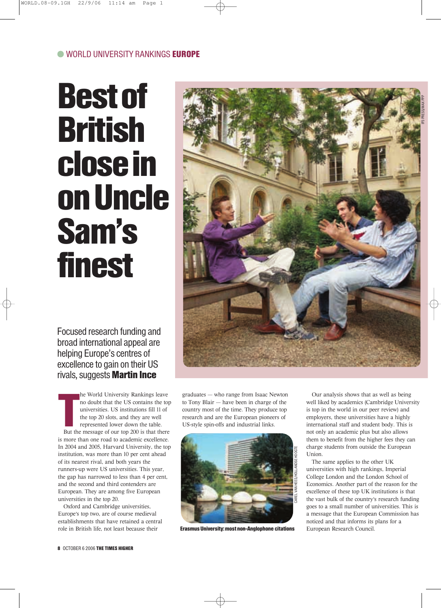## Best of British close in on Uncle Sam's finest

Focused research funding and broad international appeal are helping Europe's centres of excellence to gain on their US rivals, suggests **Martin Ince** 

**The Contract of the Contract of the Contract of the Contract of the Contract of the Contract of the Contract of the Contract of the Contract of the Contract of the Contract of the Contract of Theorem in the Contract of th** he World University Rankings leave no doubt that the US contains the top universities. US institutions fill 11 of the top 20 slots, and they are well represented lower down the table. But the message of our top 200 is that there is more than one road to academic excellence. In 2004 and 2005, Harvard University, the top institution, was more than 10 per cent ahead of its nearest rival, and both years the runners-up were US universities. This year, the gap has narrowed to less than 4 per cent, and the second and third contenders are European. They are among five European universities in the top 20.

Oxford and Cambridge universities, Europe's top two, are of course medieval establishments that have retained a central role in British life, not least because their

graduates — who range from Isaac Newton to Tony Blair — have been in charge of the country most of the time. They produce top research and are the European pioneers of US-style spin-offs and industrial links.



Erasmus University: most non-Anglophone citations

Our analysis shows that as well as being well liked by academics (Cambridge University is top in the world in our peer review) and employers, these universities have a highly international staff and student body. This is not only an academic plus but also allows them to benefit from the higher fees they can charge students from outside the European Union.

The same applies to the other UK universities with high rankings, Imperial College London and the London School of Economics. Another part of the reason for the excellence of these top UK institutions is that the vast bulk of the country's research funding goes to a small number of universities. This is a message that the European Commission has noticed and that informs its plans for a European Research Council.

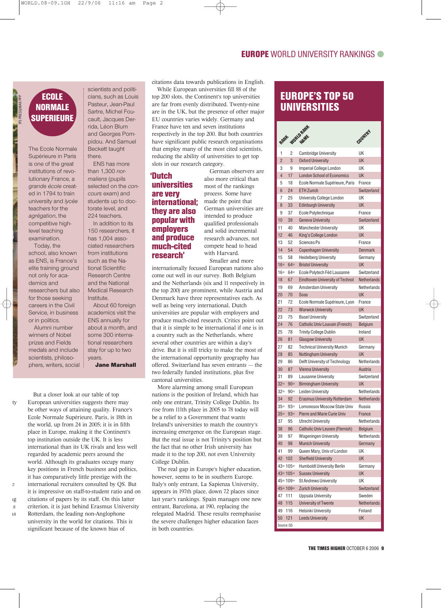#### EUROPE WORLD UNIVERSITY RANKINGS

#### ECOLE NORMALE **SUPERIEURE**

IP3 PRESS/MAX PPP

The Ecole Normale Supérieure in Paris is one of the great institutions of revolutionary France, a *grande école* created in 1794 to train university and *lycée* teachers for the *agrégation*, the competitive highlevel teaching examination.

Today, the school, also known as ENS, is France's elite training ground not only for academics and researchers but also for those seeking careers in the Civil Service, in business or in politics.

Alumni number winners of Nobel prizes and Fields medals and include scientists, philosophers, writers, social

ty

ng

as

scientists and politicians, such as Louis Pasteur, Jean-Paul Sartre, Michel Foucault, Jacques Derrida, Léon Blum and Georges Pompidou. And Samuel Beckett taught there.

ENS has more than 1,300 *normaliens* (pupils selected on the *concours* exam) and students up to doctorate level, and 224 teachers.

In addition to its 150 researchers, it has 1,004 associated researchers from institutions such as the National Scientific Research Centre and the National Medical Research Institute.

About 60 foreign academics visit the ENS annually for about a month, and some 300 international researchers stay for up to two years. Jane Marshall

But a closer look at our table of top European universities suggests there may be other ways of attaining quality. France's Ecole Normale Supérieure, Paris, is 18th in the world, up from 24 in 2005; it is in fifth place in Europe, making it the Continent's top institution outside the UK. It is less international than its UK rivals and less well regarded by academic peers around the world. Although its graduates occupy many key positions in French business and politics, it has comparatively little prestige with the international recruiters consulted by QS. But it is impressive on staff-to-student ratio and on citations of papers by its staff. On this latter criterion, it is just behind Erasmus University Rotterdam, the leading non-Anglophone university in the world for citations. This is significant because of the known bias of

citations data towards publications in English.

While European universities fill 88 of the top 200 slots, the Continent's top universities are far from evenly distributed. Twenty-nine are in the UK, but the presence of other major EU countries varies widely. Germany and France have ten and seven institutions respectively in the top 200. But both countries have significant public research organisations that employ many of the most cited scientists, reducing the ability of universities to get top slots in our research category.

#### 'Dutch universities are very international; they are also popular with employers and produce much-cited research'

German observers are also more critical than most of the rankings process. Some have made the point that German universities are intended to produce qualified professionals and solid incremental research advances, not compete head to head with Harvard. Smaller and more

internationally focused European nations also come out well in our survey. Both Belgium and the Netherlands (six and 11 respectively in the top 200) are prominent, while Austria and Denmark have three representatives each. As well as being very international, Dutch universities are popular with employers and produce much-cited research. Critics point out that it is simple to be international if one is in a country such as the Netherlands, where several other countries are within a day's drive. But it is still tricky to make the most of the international opportunity geography has offered. Switzerland has seven entrants — the two federally funded institutions, plus five cantonal universities.

More alarming among small European nations is the position of Ireland, which has only one entrant, Trinity College Dublin. Its rise from 111th place in 2005 to 78 today will be a relief to a Government that wants Ireland's universities to match the country's increasing emergence on the European stage. But the real issue is not Trinity's position but the fact that no other Irish university has made it to the top 200, not even University College Dublin.

The real gap in Europe's higher education, however, seems to be in southern Europe. Italy's only entrant, La Sapienza University, appears in 197th place, down 72 places since last year's rankings. Spain manages one new entrant, Barcelona, at 190, replacing the relegated Madrid. These results reemphasise the severe challenges higher education faces in both countries.

#### EUROPE'S TOP 50 UNIVERSITIES

| RANK           |              | WORLD RAIN                             | <b>COUNTRY</b>        |
|----------------|--------------|----------------------------------------|-----------------------|
| 1              | 2            | <b>Cambridge University</b>            | UK                    |
| $\overline{2}$ | 3            | <b>Oxford University</b>               | <b>UK</b>             |
| 3              | 9            | Imperial College London                | UK                    |
| $\overline{4}$ | 17           | <b>London School of Economics</b>      | <b>UK</b>             |
| 5              | 18           | Ecole Normale Supérieure, Paris        | France                |
| 6              | 24           | <b>ETH Zurich</b>                      | Switzerland           |
| 7              | 25           | University College London              | UK                    |
| 8              | 33           | <b>Edinburgh University</b>            | <b>UK</b>             |
| 9              | 37           | Ecole Polytechnique                    | France                |
| 10             | 39           | <b>Geneva University</b>               | Switzerland           |
| 11             | 40           | Manchester University                  | UK                    |
| 12             | 46           | King's College London                  | <b>UK</b>             |
| 13             | 52           | Sciences Po                            | France                |
| 14             | 54           | <b>Copenhagen University</b>           | <b>Denmark</b>        |
| 15             | 58           | <b>Heidelberg University</b>           | Germany               |
| $16 =$         | $64=$        | <b>Bristol University</b>              | UK                    |
| $16=$          | $64 =$       | Ecole Polytech Féd Lausanne            | Switzerland           |
| 18             | 67           | <b>Eindhoven University of Technol</b> | Netherlands           |
| 19             | 69           | Amsterdam University                   | Netherlands           |
| 20             | 70           | Soas                                   | <b>UK</b>             |
| 21             | 72           | Ecole Normale Supérieure, Lyon         | France                |
| 22             | 73           | <b>Warwick University</b>              | UK                    |
| 23             | 75           | <b>Basel University</b>                | Switzerland           |
| 24             | 76           | Catholic Univ Louvain (French)         | <b>Belgium</b>        |
| 25             | 78           | <b>Trinity College Dublin</b>          | Ireland               |
| 26             | 81           | <b>Glasgow University</b>              | <b>UK</b>             |
| 27             | 82           | <b>Technical University Munich</b>     | Germany               |
| 28             | 85           | <b>Nottingham University</b>           | UK                    |
| 29             | 86           | Delft University of Technology         | Netherlands           |
| 30             | 87           | <b>Vienna University</b>               | Austria               |
| 31             | 89           | Lausanne University                    | Switzerland           |
| $32 =$         | $90 =$       | <b>Birmingham University</b>           | <b>UK</b>             |
| $32 =$         | $90 =$       | Leiden University                      | Netherlands           |
| 34             | 92           | <b>Erasmus University Rotterdam</b>    | <b>Netherlands</b>    |
| $35=$          | $93=$        | Lomonosov Moscow State Univ            | Russia                |
| $35=$          | $93 =$       | <b>Pierre and Marie Curie Univ</b>     | France                |
| 37             | 95           | <b>Utrecht University</b>              | Netherlands           |
| 38             | 96           | Catholic Univ Leuven (Flemish)         | Belgium               |
| 39             | 97           | <b>Wageningen University</b>           | Netherlands           |
| 40             | 98           | <b>Munich University</b>               | Germany               |
| 41             | 99           | Queen Mary, Univ of London             | UK                    |
| 42             | 102          | <b>Sheffield University</b>            | <b>UK</b>             |
|                | $43 = 105 =$ | <b>Humboldt University Berlin</b>      | Germany               |
|                | $43 = 105 =$ | <b>Sussex University</b>               | <b>UK</b>             |
|                | $45 = 109 =$ | <b>St Andrews University</b>           | UK                    |
|                | $45 = 109 =$ | <b>Zurich University</b>               | Switzerland<br>Sweden |
| 47             | 111          | <b>Uppsala University</b>              |                       |
| 48<br>49       | 115          | University of Twente                   | <b>Netherlands</b>    |
| 50             | 116<br>121   | Helsinki University                    | Finland<br><b>UK</b>  |
| Source: QS     |              | <b>Leeds University</b>                |                       |
|                |              |                                        |                       |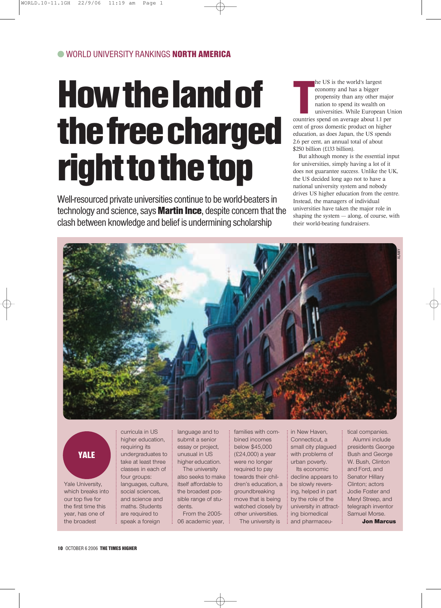## How the land of the free charged right to the top

Well-resourced private universities continue to be world-beaters in technology and science, says **Martin Ince**, despite concern that the clash between knowledge and belief is undermining scholarship

he US is the world's largest<br>
economy and has a bigger<br>
propensity than any other majo<br>
nation to spend its wealth on<br>
universities. While European U<br>
countries spend on average about 1.1 per he US is the world's largest economy and has a bigger propensity than any other major nation to spend its wealth on universities. While European Union cent of gross domestic product on higher education, as does Japan, the US spends

\$250 billion (£133 billion). But although money is the essential input for universities, simply having a lot of it does not guarantee success. Unlike the UK, the US decided long ago not to have a national university system and nobody drives US higher education from the centre. Instead, the managers of individual universities have taken the major role in shaping the system — along, of course, with their world-beating fundraisers.

2.6 per cent, an annual total of about



## YALE

Yale University, which breaks into our top five for the first time this year, has one of the broadest

curricula in US higher education, requiring its undergraduates to take at least three classes in each of four groups: languages, culture, social sciences, and science and maths. Students are required to speak a foreign

language and to submit a senior essay or project, unusual in US higher education.

The university also seeks to make itself affordable to the broadest possible range of students.

From the 2005- 06 academic year, families with combined incomes below \$45,000 (£24,000) a year were no longer required to pay towards their children's education, a groundbreaking move that is being watched closely by other universities. The university is

in New Haven, Connecticut, a small city plagued with problems of urban poverty.

Its economic decline appears to be slowly reversing, helped in part by the role of the university in attracting biomedical and pharmaceutical companies. Alumni include presidents George Bush and George W. Bush, Clinton and Ford, and Senator Hillary Clinton; actors Jodie Foster and Meryl Streep, and telegraph inventor Samuel Morse. Jon Marcus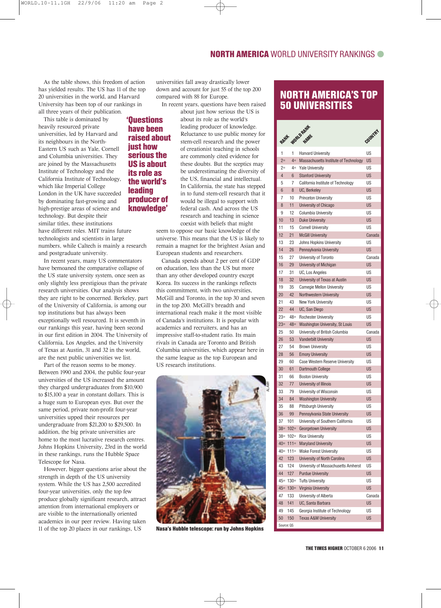As the table shows, this freedom of action has yielded results. The US has 11 of the top 20 universities in the world, and Harvard University has been top of our rankings in all three years of their publication.

This table is dominated by heavily resourced private universities, led by Harvard and its neighbours in the North-Eastern US such as Yale, Cornell and Columbia universities. They are joined by the Massachusetts Institute of Technology and the California Institute of Technology, which like Imperial College London in the UK have succeeded by dominating fast-growing and high-prestige areas of science and technology. But despite their similar titles, these institutions have different roles. MIT trains future technologists and scientists in large numbers, while Caltech is mainly a research and postgraduate university. 'Questions have been just how its role as leading

In recent years, many US commentators have bemoaned the comparative collapse of the US state university system, once seen as only slightly less prestigious than the private research universities. Our analysis shows they are right to be concerned. Berkeley, part of the University of California, is among our top institutions but has always been exceptionally well resourced. It is seventh in our rankings this year, having been second in our first edition in 2004. The University of California, Los Angeles, and the University of Texas at Austin, 31 and 32 in the world, are the next public universities we list.

Part of the reason seems to be money. Between 1990 and 2004, the public four-year universities of the US increased the amount they charged undergraduates from \$10,900 to \$15,100 a year in constant dollars. This is a huge sum to European eyes. But over the same period, private non-profit four-year universities upped their resources per undergraduate from \$21,200 to \$29,500. In addition, the big private universities are home to the most lucrative research centres. Johns Hopkins University, 23rd in the world in these rankings, runs the Hubble Space Telescope for Nasa.

However, bigger questions arise about the strength in depth of the US university system. While the US has 2,500 accredited four-year universities, only the top few produce globally significant research, attract attention from international employers or are visible to the internationally oriented academics in our peer review. Having taken 11 of the top 20 places in our rankings, US

universities fall away drastically lower down and account for just 55 of the top 200 compared with 88 for Europe.

In recent years, questions have been raised about just how serious the US is

about its role as the world's leading producer of knowledge. Reluctance to use public money for stem-cell research and the power of creationist teaching in schools are commonly cited evidence for these doubts. But the sceptics may be underestimating the diversity of the US, financial and intellectual. In California, the state has stepped in to fund stem-cell research that it would be illegal to support with federal cash. And across the US research and teaching in science coexist with beliefs that might raised about serious the US is about the world's producer of knowledge'

> seem to oppose our basic knowledge of the universe. This means that the US is likely to remain a magnet for the brightest Asian and European students and researchers.

> Canada spends about 2 per cent of GDP on education, less than the US but more than any other developed country except Korea. Its success in the rankings reflects this commitment, with two universities, McGill and Toronto, in the top 30 and seven in the top 200. McGill's breadth and international reach make it the most visible of Canada's institutions. It is popular with academics and recruiters, and has an impressive staff-to-student ratio. Its main rivals in Canada are Toronto and British Columbia universities, which appear here in the same league as the top European and US research institutions.



Nasa's Hubble telescope: run by Johns Hopkins

#### NORTH AMERICA'S TOP 50 UNIVERSITIES

| RANH            |                     | WORLD RAWK                                                      | COUNTRY         |
|-----------------|---------------------|-----------------------------------------------------------------|-----------------|
| 1               | 1                   | <b>Harvard University</b>                                       | US              |
| $2=$            | $4=$                | Massachusetts Institute of Technology                           | <b>US</b>       |
| $2=$            | $4=$                | <b>Yale University</b>                                          | US              |
| $\overline{4}$  | 6                   | <b>Stanford University</b>                                      | <b>US</b>       |
| 5               | 7                   | California Institute of Technology                              | US              |
| 6               | 8                   | UC, Berkeley                                                    | <b>US</b>       |
| 7               | 10                  | Princeton University                                            | <b>US</b>       |
| 8               | 11                  | University of Chicago                                           | <b>US</b>       |
| 9               | 12                  | Columbia University                                             | US              |
| 10 <sup>1</sup> | 13                  | <b>Duke University</b>                                          | <b>US</b>       |
| 11              | 15                  | <b>Cornell University</b>                                       | US              |
| 12              | 21                  | <b>McGill University</b>                                        | Canada          |
| 13              | 23                  | Johns Hopkins University                                        | <b>US</b>       |
| 14              | 26                  | Pennsylvania University                                         | <b>US</b>       |
| 15              | 27                  | University of Toronto                                           | Canada          |
| 16              | 29                  | University of Michigan                                          | <b>US</b>       |
| 17              | 31                  | <b>UC. Los Angeles</b>                                          | US              |
| 18              | 32                  | University of Texas at Austin                                   | <b>US</b>       |
| 19              | 35                  | <b>Carnegie Mellon University</b>                               | <b>US</b>       |
| 20              | 42                  | Northwestern University                                         | <b>US</b>       |
| 21              | 43                  | New York University                                             | US              |
| 22              | 44                  | UC, San Diego                                                   | <b>US</b>       |
| $23=$           | $48 =$              | <b>Rochester University</b>                                     | US              |
| $23=$           | $48 =$              | Washington University, St Louis                                 | <b>US</b>       |
| 25              | 50                  | University of British Columbia                                  | Canada          |
| 26              | 53                  | <b>Vanderbilt University</b>                                    | <b>US</b>       |
| 27              | 54                  | <b>Brown University</b>                                         | US              |
| 28              | 56                  | <b>Emory University</b>                                         | <b>US</b>       |
| 29              | 60                  | Case Western Reserve University                                 | US              |
| 30              | 61                  | Dartmouth College                                               | <b>US</b>       |
| 31              | 66                  | <b>Boston University</b>                                        | <b>US</b>       |
| 32              | 77                  | University of Illinois                                          | <b>US</b>       |
| 33              | 79                  | University of Wisconsin                                         | US              |
| 34              | 84                  | <b>Washington University</b>                                    | <b>US</b>       |
| 35              | 88                  | Pittsburgh University                                           | US              |
| 36              | 99                  | Pennsylvania State University                                   | <b>US</b>       |
| 37              | 101                 | University of Southern California                               | US              |
|                 | $38 = 102 =$        | Georgetown University                                           | US              |
|                 | $38 = 102 =$        | <b>Rice University</b>                                          | US              |
|                 | $40 = 111 =$        | <b>Maryland University</b>                                      | <b>US</b>       |
|                 | $40 = 111 =$        | <b>Wake Forest University</b>                                   | US              |
| 42              | 123                 | University of North Carolina                                    | <b>US</b>       |
| 43<br>44        | 124                 | University of Massachusetts Amherst<br><b>Purdue University</b> | US<br><b>US</b> |
|                 | 127<br>$45 = 130 =$ | <b>Tufts University</b>                                         | US              |
|                 | $45 = 130 =$        | <b>Virginia University</b>                                      | <b>US</b>       |
| 47              | 133                 | University of Alberta                                           | Canada          |
| 48              | 141                 | UC, Santa Barbara                                               | <b>US</b>       |
| 49              | 145                 | Georgia Institute of Technology                                 | US              |
| 50              | 150                 | <b>Texas A&amp;M University</b>                                 | <b>US</b>       |
| Source: QS      |                     |                                                                 |                 |
|                 |                     |                                                                 |                 |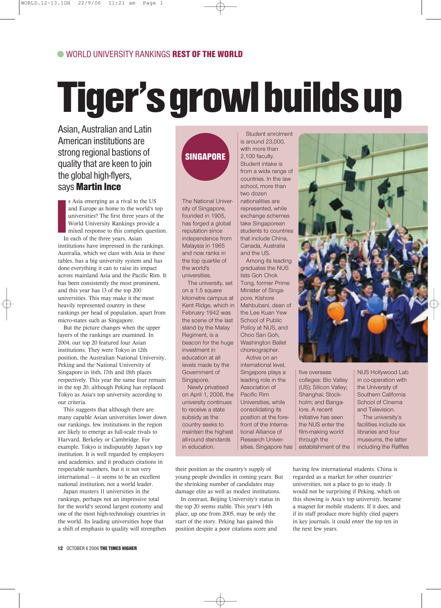## Tiger's growl builds up

Asian, Australian and Latin American institutions are strong regional bastions of quality that are keen to join the global high-flyers, says **Martin Ince** 

In The Lines s Asia emerging as a rival to the US and Europe as home to the world's top universities? The first three years of the World University Rankings provide a mixed response to this complex question. In each of the three years, Asian institutions have impressed in the rankings. Australia, which we class with Asia in these tables, has a big university system and has done everything it can to raise its impact across mainland Asia and the Pacific Rim. It has been consistently the most prominent, and this year has 13 of the top 200 universities. This may make it the most heavily represented country in these rankings per head of population, apart from micro-states such as Singapore.

But the picture changes when the upper layers of the rankings are examined. In 2004, our top 20 featured four Asian institutions. They were Tokyo in 12th position, the Australian National University, Peking and the National University of Singapore in 16th, 17th and 18th places respectively. This year the same four remain in the top 20, although Peking has replaced Tokyo as Asia's top university according to our criteria.

This suggests that although there are many capable Asian universities lower down our rankings, few institutions in the region are likely to emerge as full-scale rivals to Harvard, Berkeley or Cambridge. For example, Tokyo is indisputably Japan's top institution. It is well regarded by employers and academics, and it produces citations in respectable numbers, but it is not very international — it seems to be an excellent national institution, not a world leader.

Japan musters 11 universities in the rankings, perhaps not an impressive total for the world's second largest economy and one of the most high-technology countries in the world. Its leading universities hope that a shift of emphasis to quality will strengthen

### **SINGAPORE**

The National University of Singapore, founded in 1905, has forged a global reputation since independence from Malaysia in 1965 and now ranks in the top quartile of the world's universities.

The university, set on a 1.5 square kilometre campus at Kent Ridge, which in February 1942 was the scene of the last stand by the Malay Regiment, is a beacon for the huge investment in education at all levels made by the Government of Singapore.

Newly privatised on April 1, 2006, the university continues to receive a state subsidy as the country seeks to maintain the highest all-round standards in education.

Student enrolment is around 23,000, with more than 2,100 faculty. Student intake is from a wide range of countries. In the law school, more than two dozen nationalities are represented, while exchange schemes take Singaporean students to countries that include China, Canada, Australia and the US.

Among its leading graduates the NUS lists Goh Chok Tong, former Prime Minister of Singapore, Kishore Mahbubani, dean of the Lee Kuan Yew School of Public Policy at NUS, and Choo San Goh, Washington Ballet choreographer. Active on an international level, Singapore plays a leading role in the Association of Pacific Rim Universities, while consolidating its position at the forefront of the International Alliance of Research Universities. Singapore has

their position as the country's supply of young people dwindles in coming years. But the shrinking number of candidates may damage elite as well as modest institutions.

In contrast, Beijing University's status in the top 20 seems stable. This year's 14th place, up one from 2005, may be only the start of the story. Peking has gained this position despite a poor citations score and



five overseas colleges: Bio Valley (US); Silicon Valley; Shanghai; Stockholm; and Bangalore. A recent initiative has seen the NUS enter the film-making world through the establishment of the

NUS Hollywood Lab in co-operation with the University of Southern California School of Cinema and Television.

The university's facilities include six libraries and four museums, the latter including the Raffles

having few international students. China is regarded as a market for other countries' universities, not a place to go to study. It would not be surprising if Peking, which on this showing is Asia's top university, became a magnet for mobile students. If it does, and if its staff produce more highly cited papers in key journals, it could enter the top ten in the next few years.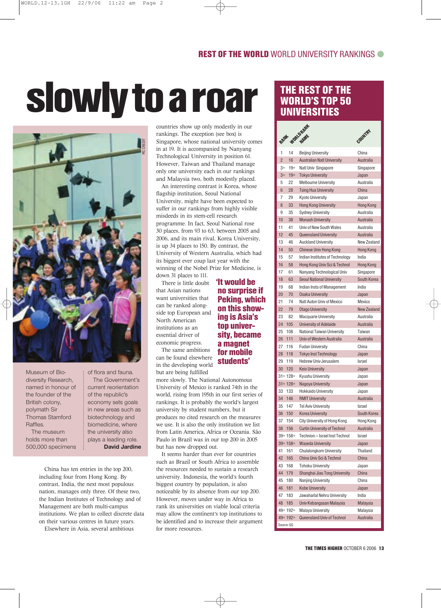## slowly to a roar



Museum of Biodiversity Research, named in honour of the founder of the British colony, polymath Sir Thomas Stamford Raffles.

The museum holds more than 500,000 specimens of flora and fauna. The Government's current reorientation of the republic's economy sets goals in new areas such as biotechnology and biomedicine, where the university also plays a leading role. **David Jardine**

China has ten entries in the top 200, including four from Hong Kong. By contrast, India, the next most populous nation, manages only three. Of these two, the Indian Institutes of Technology and of Management are both multi-campus institutions. We plan to collect discrete data on their various centres in future years.

Elsewhere in Asia, several ambitious

countries show up only modestly in our rankings. The exception (see box) is Singapore, whose national university comes in at 19. It is accompanied by Nanyang Technological University in position 61. However, Taiwan and Thailand manage only one university each in our rankings and Malaysia two, both modestly placed.

An interesting contrast is Korea, whose flagship institution, Seoul National University, might have been expected to suffer in our rankings from highly visible misdeeds in its stem-cell research programme. In fact, Seoul National rose 30 places, from 93 to 63, between 2005 and 2006, and its main rival, Korea University, is up 34 places to 150. By contrast, the University of Western Australia, which had its biggest ever coup last year with the winning of the Nobel Prize for Medicine, is down 31 places to 111.

'It would be no surprise if Peking, which on this showing is Asia's top university, became a magnet for mobile students'

There is little doubt that Asian nations want universities that can be ranked alongside top European and North American institutions as an essential driver of economic progress.

The same ambitions can be found elsewhere in the developing world but are being fulfilled

#### more slowly. The National Autonomous University of Mexico is ranked 74th in the world, rising from 195th in our first series of rankings. It is probably the world's largest university by student numbers, but it produces no cited research on the measures we use. It is also the only institution we list from Latin America, Africa or Oceania. São Paulo in Brazil was in our top 200 in 2005

but has now dropped out. It seems harder than ever for countries such as Brazil or South Africa to assemble the resources needed to sustain a research university. Indonesia, the world's fourth biggest country by population, is also noticeable by its absence from our top 200. However, moves under way in Africa to rank its universities on viable local criteria may allow the continent's top institutions to be identified and to increase their argument for more resources.

#### THE REST OF THE WORLD'S TOP 50 UNIVERSITIES

| RANK           |              | WORLD RAW<br>NAME                                    | COUNTRY            |
|----------------|--------------|------------------------------------------------------|--------------------|
|                |              |                                                      |                    |
| 1              | 14           | <b>Beijing University</b>                            | China              |
| $\overline{2}$ | 16           | <b>Australian Natl University</b>                    | Australia          |
| $3=$           | $19 =$       | Natl Univ Singapore                                  | Singapore          |
| $3=$           | $19=$        | <b>Tokyo University</b>                              | Japan              |
| 5<br>6         | 22<br>28     | <b>Melbourne University</b>                          | Australia<br>China |
| 7              | 29           | <b>Tsing Hua University</b><br>Kyoto University      |                    |
| 8              | 33           | <b>Hong Kong University</b>                          | Japan<br>Hong Kong |
| 9              | 35           |                                                      | Australia          |
| 10             | 38           | <b>Sydney University</b><br><b>Monash University</b> | Australia          |
| 11             | 41           | Univ of New South Wales                              | Australia          |
| 12             | 45           | Queensland University                                | Australia          |
| 13             | 46           | Auckland University                                  | New Zealand        |
| 14             | 50           | Chinese Univ Hong Kong                               | Hong Kong          |
| 15             | 57           | Indian Institutes of Technology                      | India              |
| 16             | 58           | Hong Kong Univ Sci & Technol                         | Hong Kong          |
| 17             | 61           | Nanyang Technological Univ                           | Singapore          |
| 18             | 63           | <b>Seoul National University</b>                     | South Korea        |
| 19             | 68           | Indian Insts of Management                           | India              |
| 20             | 70           | <b>Osaka University</b>                              | Japan              |
| 21             | 74           | Natl Auton Univ of Mexico                            | Mexico             |
| 22             | 79           | <b>Otago University</b>                              | New Zealand        |
| 23             | 82           | Macquarie University                                 | Australia          |
| 24             | 105          | University of Adelaide                               | Australia          |
| 25             | 108          | National Taiwan University                           | Taiwan             |
| 26             | 111          | Univ of Western Australia                            | Australia          |
| 27             | 116          | <b>Fudan University</b>                              | China              |
| 28             | 118          | <b>Tokyo Inst Technology</b>                         | Japan              |
| 29             | 119          | Hebrew Univ Jerusalem                                | Israel             |
| 30             | 120          | <b>Keio University</b>                               | Japan              |
|                | $31 = 128 =$ | Kyushu University                                    | Japan              |
|                | $31 = 128 =$ | Nagoya University                                    | Japan              |
| 33             | 133          | Hokkaido University                                  | Japan              |
| 34             | 146          | <b>RMIT University</b>                               | Australia          |
| 35             | 147          | Tel Aviv University                                  | Israel             |
| 36             | 150          | Korea University                                     | South Korea        |
| 37             | 154          | City University of Hong Kong                         | Hong Kong          |
| 38             | 156          | Curtin University of Technol                         | Australia          |
|                | $39 = 158 =$ | Technion - Israel Inst Technol                       | Israel             |
|                | $39 = 158 =$ | <b>Waseda University</b>                             | Japan              |
| 41             | 161          | Chulalongkorn University                             | Thailand           |
| 42             | 165          | China Univ Sci & Technol                             | China              |
| 43             | 168          | <b>Tohoku University</b>                             | Japan              |
| 44             | 179          | Shanghai Jiao Tong University                        | China              |
| 45             | 180          | Nanjing University                                   | China              |
| 46             | 181          | <b>Kobe University</b>                               | Japan              |
| 47             | 183          | Jawaharlal Nehru University                          | India              |
| 48             | 185          | Univ Kebangsaan Malaysia                             | Malaysia           |
|                | $49 = 192 =$ | Malaya University                                    | Malaysia           |
|                | $49 = 192 =$ | Queensland Univ of Technol                           | Australia          |
| Source: QS     |              |                                                      |                    |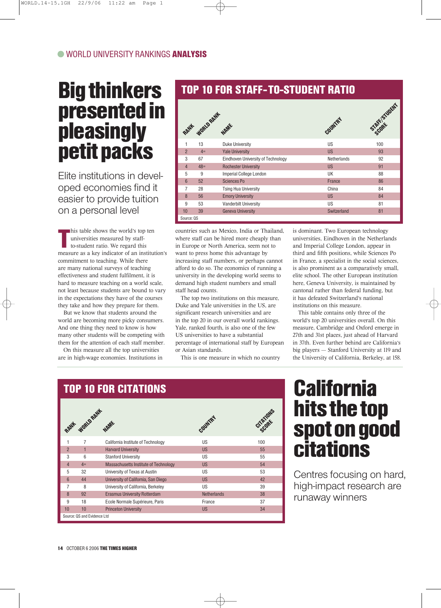### Big thinkers presented in pleasingly petit packs

Elite institutions in developed economies find it easier to provide tuition on a personal level

his table shows the world's top ten<br>universities measured by staff-<br>to-student ratio. We regard this<br>measure as a key indicator of an institution's his table shows the world's top ten universities measured by staffto-student ratio. We regard this commitment to teaching. While there are many national surveys of teaching effectiveness and student fulfilment, it is hard to measure teaching on a world scale, not least because students are bound to vary in the expectations they have of the courses they take and how they prepare for them.

But we know that students around the world are becoming more picky consumers. And one thing they need to know is how many other students will be competing with them for the attention of each staff member.

On this measure all the top universities are in high-wage economies. Institutions in

#### TOP 10 FOR STAFF- TO-STUDENT RATIO

|                |       | RANH WORLD RANK WARE               | COUNTRY            | Scholar Student |
|----------------|-------|------------------------------------|--------------------|-----------------|
|                | 13    | Duke University                    | US                 | 100             |
| $\overline{2}$ | $4=$  | <b>Yale University</b>             | <b>US</b>          | 93              |
| 3              | 67    | Eindhoven University of Technology | <b>Netherlands</b> | 92              |
| $\overline{4}$ | $48=$ | <b>Rochester University</b>        | <b>US</b>          | 91              |
| 5              | 9     | <b>Imperial College London</b>     | UK                 | 88              |
| 6              | 52    | Sciences Po                        | France             | 86              |
| 7              | 28    | <b>Tsing Hua University</b>        | China              | 84              |
| 8              | 56    | <b>Emory University</b>            | <b>US</b>          | 84              |
| 9              | 53    | <b>Vanderbilt University</b>       | US                 | 81              |
| 10             | 39    | <b>Geneva University</b>           | Switzerland        | 81              |
| Source: QS     |       |                                    |                    |                 |

countries such as Mexico, India or Thailand, where staff can be hired more cheaply than in Europe or North America, seem not to want to press home this advantage by increasing staff numbers, or perhaps cannot afford to do so. The economics of running a university in the developing world seems to demand high student numbers and small staff head counts.

The top two institutions on this measure, Duke and Yale universities in the US, are significant research universities and are in the top 20 in our overall world rankings. Yale, ranked fourth, is also one of the few US universities to have a substantial percentage of international staff by European or Asian standards.

This is one measure in which no country

is dominant. Two European technology universities, Eindhoven in the Netherlands and Imperial College London, appear in third and fifth positions, while Sciences Po in France, a specialist in the social sciences, is also prominent as a comparatively small, elite school. The other European institution here, Geneva University, is maintained by cantonal rather than federal funding, but it has defeated Switzerland's national institutions on this measure.

This table contains only three of the world's top 20 universities overall. On this measure, Cambridge and Oxford emerge in 27th and 31st places, just ahead of Harvard in 37th. Even further behind are California's big players — Stanford University at 119 and the University of California, Berkeley, at 158.



## hits the top spot on good citations

Centres focusing on hard, high-impact research are runaway winners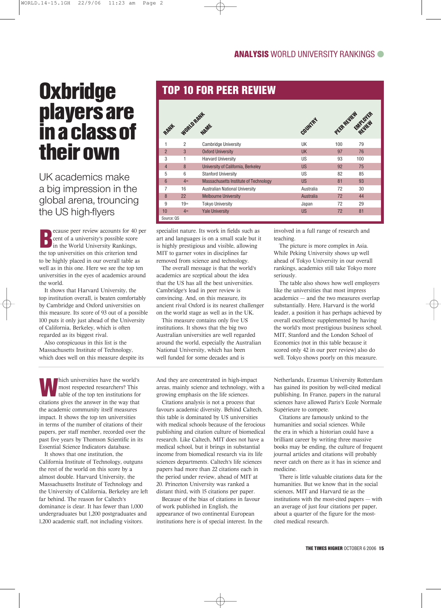### **Oxbridge** players are in a class of their own

UK academics make a big impression in the global arena, trouncing the US high-flyers

**Example 2** cent of a university's possible score in the World University Rankings, ecause peer review accounts for 40 per cent of a university's possible score the top universities on this criterion tend to be highly placed in our overall table as well as in this one. Here we see the top ten universities in the eyes of academics around the world.

It shows that Harvard University, the top institution overall, is beaten comfortably by Cambridge and Oxford universities on this measure. Its score of 93 out of a possible 100 puts it only just ahead of the University of California, Berkeley, which is often regarded as its biggest rival.

Also conspicuous in this list is the Massachusetts Institute of Technology, which does well on this measure despite its

hich universities have the world's most respected researchers? This table of the top ten institutions for citations gives the answer in the way that the academic community itself measures impact. It shows the top ten universities in terms of the number of citations of their papers, per staff member, recorded over the past five years by Thomson Scientific in its Essential Science Indicators database.

It shows that one institution, the California Institute of Technology, outguns the rest of the world on this score by a almost double. Harvard University, the Massachusetts Institute of Technology and the University of California, Berkeley are left far behind. The reason for Caltech's dominance is clear. It has fewer than 1,000 undergraduates but 1,200 postgraduates and 1,200 academic staff, not including visitors.

#### TOP 10 FOR PEER REVIEW

| RANK            |                | WORLD RAIH                            | COUNTRY          |     | FEER REVIEW FURTHER |
|-----------------|----------------|---------------------------------------|------------------|-----|---------------------|
| 1               | $\overline{2}$ | <b>Cambridge University</b>           | UK               | 100 | 79                  |
| $\overline{2}$  | 3              | <b>Oxford University</b>              | <b>UK</b>        | 97  | 76                  |
| 3               | 1              | <b>Harvard University</b>             | US.              | 93  | 100                 |
| $\overline{4}$  | 8              | University of California, Berkeley    | <b>US</b>        | 92  | 75                  |
| 5               | 6              | <b>Stanford University</b>            | <b>US</b>        | 82  | 85                  |
| $6\overline{6}$ | $4=$           | Massachusetts Institute of Technology | <b>US</b>        | 81  | 93                  |
| $\overline{7}$  | 16             | <b>Australian National University</b> | Australia        | 72  | 30                  |
| $\mathsf{8}$    | 22             | <b>Melbourne University</b>           | <b>Australia</b> | 72  | 44                  |
| 9               | $19=$          | <b>Tokyo University</b>               | Japan            | 72  | 29                  |
| 10              | $4=$           | <b>Yale University</b>                | <b>US</b>        | 72  | 81                  |
| Source: QS      |                |                                       |                  |     |                     |

specialist nature. Its work in fields such as art and languages is on a small scale but it is highly prestigious and visible, allowing MIT to garner votes in disciplines far removed from science and technology.

The overall message is that the world's academics are sceptical about the idea that the US has all the best universities. Cambridge's lead in peer review is convincing. And, on this measure, its ancient rival Oxford is its nearest challenger on the world stage as well as in the UK.

This measure contains only five US institutions. It shows that the big two Australian universities are well regarded around the world, especially the Australian National University, which has been well funded for some decades and is

And they are concentrated in high-impact areas, mainly science and technology, with a growing emphasis on the life sciences.

Citations analysis is not a process that favours academic diversity. Behind Caltech, this table is dominated by US universities with medical schools because of the ferocious publishing and citation culture of biomedical research. Like Caltech, MIT does not have a medical school, but it brings in substantial income from biomedical research via its life sciences departments. Caltech's life sciences papers had more than 22 citations each in the period under review, ahead of MIT at 20. Princeton University was ranked a distant third, with 15 citations per paper.

Because of the bias of citations in favour of work published in English, the appearance of two continental European institutions here is of special interest. In the involved in a full range of research and teaching.

The picture is more complex in Asia. While Peking University shows up well ahead of Tokyo University in our overall rankings, academics still take Tokyo more seriously.

The table also shows how well employers like the universities that most impress academics — and the two measures overlap substantially. Here, Harvard is the world leader, a position it has perhaps achieved by overall excellence supplemented by having the world's most prestigious business school. MIT, Stanford and the London School of Economics (not in this table because it scored only 42 in our peer review) also do well. Tokyo shows poorly on this measure.

Netherlands, Erasmus University Rotterdam has gained its position by well-cited medical publishing. In France, papers in the natural sciences have allowed Paris's Ecole Normale Supérieure to compete.

Citations are famously unkind to the humanities and social sciences. While the era in which a historian could have a brilliant career by writing three massive books may be ending, the culture of frequent journal articles and citations will probably never catch on there as it has in science and medicine.

There is little valuable citations data for the humanities. But we know that in the social sciences, MIT and Harvard tie as the institutions with the most-cited papers — with an average of just four citations per paper, about a quarter of the figure for the mostcited medical research.